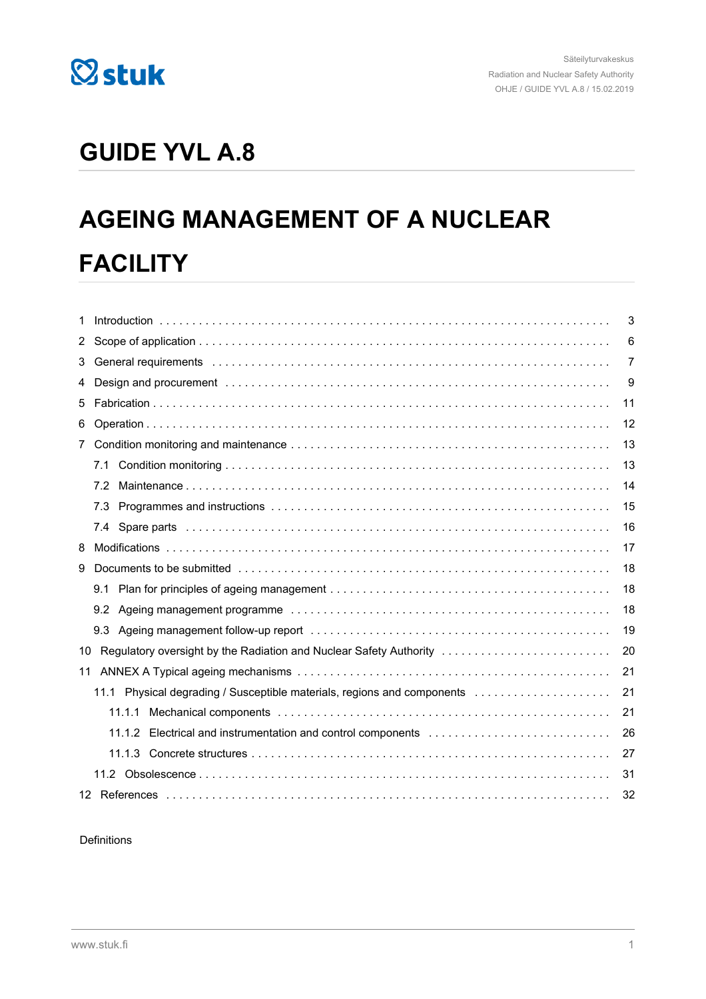

## **GUIDE YVL A.8**

# **AGEING MANAGEMENT OF A NUCLEAR FACILITY**

| 1                    |                                                                                                                                                                                                                                | 3  |
|----------------------|--------------------------------------------------------------------------------------------------------------------------------------------------------------------------------------------------------------------------------|----|
| $\mathbf{2}^{\circ}$ |                                                                                                                                                                                                                                | 6  |
| 3                    | General requirements in the contract of the contract of the contract of the contract of the contract of the contract of the contract of the contract of the contract of the contract of the contract of the contract of the co | 7  |
| 4                    |                                                                                                                                                                                                                                | 9  |
| 5                    |                                                                                                                                                                                                                                | 11 |
| 6                    |                                                                                                                                                                                                                                | 12 |
| $7^{\circ}$          |                                                                                                                                                                                                                                | 13 |
|                      | 7.1                                                                                                                                                                                                                            | 13 |
|                      | 7.2                                                                                                                                                                                                                            | 14 |
|                      | 7.3                                                                                                                                                                                                                            | 15 |
|                      | 7.4                                                                                                                                                                                                                            | 16 |
| 8                    |                                                                                                                                                                                                                                | 17 |
| 9                    |                                                                                                                                                                                                                                | 18 |
|                      | 9.1                                                                                                                                                                                                                            | 18 |
|                      |                                                                                                                                                                                                                                | 18 |
|                      | 9.3                                                                                                                                                                                                                            | 19 |
| 10                   | Regulatory oversight by the Radiation and Nuclear Safety Authority                                                                                                                                                             | 20 |
| 11                   |                                                                                                                                                                                                                                | 21 |
|                      | 11.1 Physical degrading / Susceptible materials, regions and components                                                                                                                                                        | 21 |
|                      | 11.1.1                                                                                                                                                                                                                         | 21 |
|                      | Electrical and instrumentation and control components<br>11.1.2                                                                                                                                                                | 26 |
|                      |                                                                                                                                                                                                                                | 27 |
|                      |                                                                                                                                                                                                                                | 31 |
|                      |                                                                                                                                                                                                                                | 32 |

#### Definitions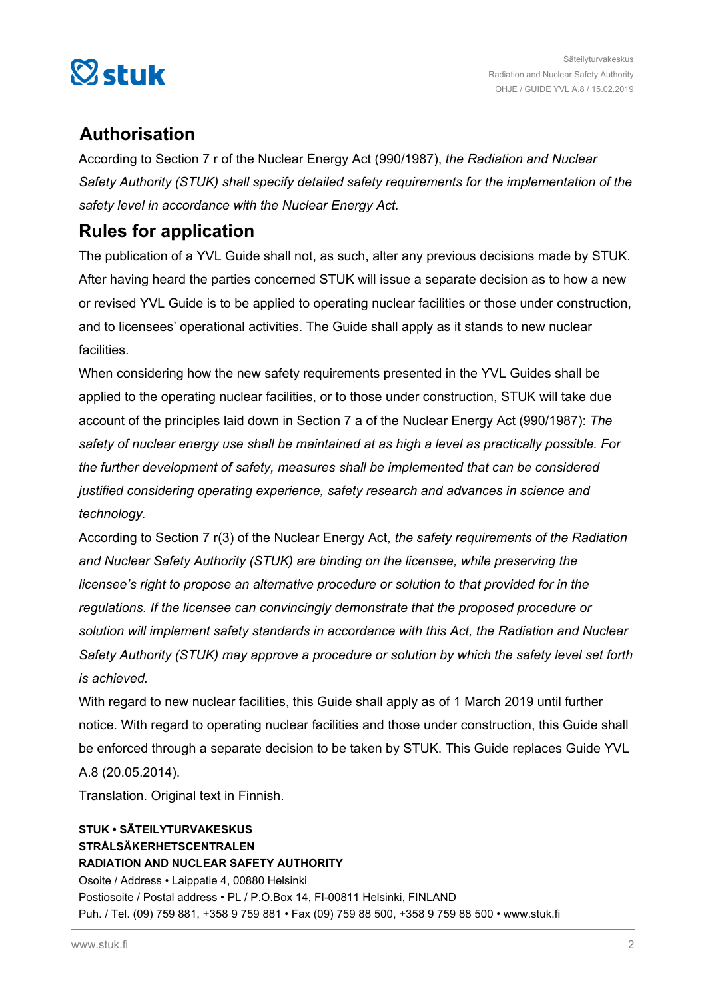

## **Authorisation**

According to Section 7 r of the Nuclear Energy Act (990/1987), *the Radiation and Nuclear Safety Authority (STUK) shall specify detailed safety requirements for the implementation of the safety level in accordance with the Nuclear Energy Act.*

## **Rules for application**

The publication of a YVL Guide shall not, as such, alter any previous decisions made by STUK. After having heard the parties concerned STUK will issue a separate decision as to how a new or revised YVL Guide is to be applied to operating nuclear facilities or those under construction, and to licensees' operational activities. The Guide shall apply as it stands to new nuclear facilities.

When considering how the new safety requirements presented in the YVL Guides shall be applied to the operating nuclear facilities, or to those under construction, STUK will take due account of the principles laid down in Section 7 a of the Nuclear Energy Act (990/1987): *The safety of nuclear energy use shall be maintained at as high a level as practically possible. For the further development of safety, measures shall be implemented that can be considered justified considering operating experience, safety research and advances in science and technology.*

According to Section 7 r(3) of the Nuclear Energy Act, *the safety requirements of the Radiation and Nuclear Safety Authority (STUK) are binding on the licensee, while preserving the licensee's right to propose an alternative procedure or solution to that provided for in the regulations. If the licensee can convincingly demonstrate that the proposed procedure or solution will implement safety standards in accordance with this Act, the Radiation and Nuclear Safety Authority (STUK) may approve a procedure or solution by which the safety level set forth is achieved.*

With regard to new nuclear facilities, this Guide shall apply as of 1 March 2019 until further notice. With regard to operating nuclear facilities and those under construction, this Guide shall be enforced through a separate decision to be taken by STUK. This Guide replaces Guide YVL A.8 (20.05.2014).

Translation. Original text in Finnish.

#### **STUK • SÄTEILYTURVAKESKUS STRÅLSÄKERHETSCENTRALEN RADIATION AND NUCLEAR SAFETY AUTHORITY** Osoite / Address • Laippatie 4, 00880 Helsinki Postiosoite / Postal address • PL / P.O.Box 14, FI-00811 Helsinki, FINLAND Puh. / Tel. (09) 759 881, +358 9 759 881 • Fax (09) 759 88 500, +358 9 759 88 500 • www.stuk.fi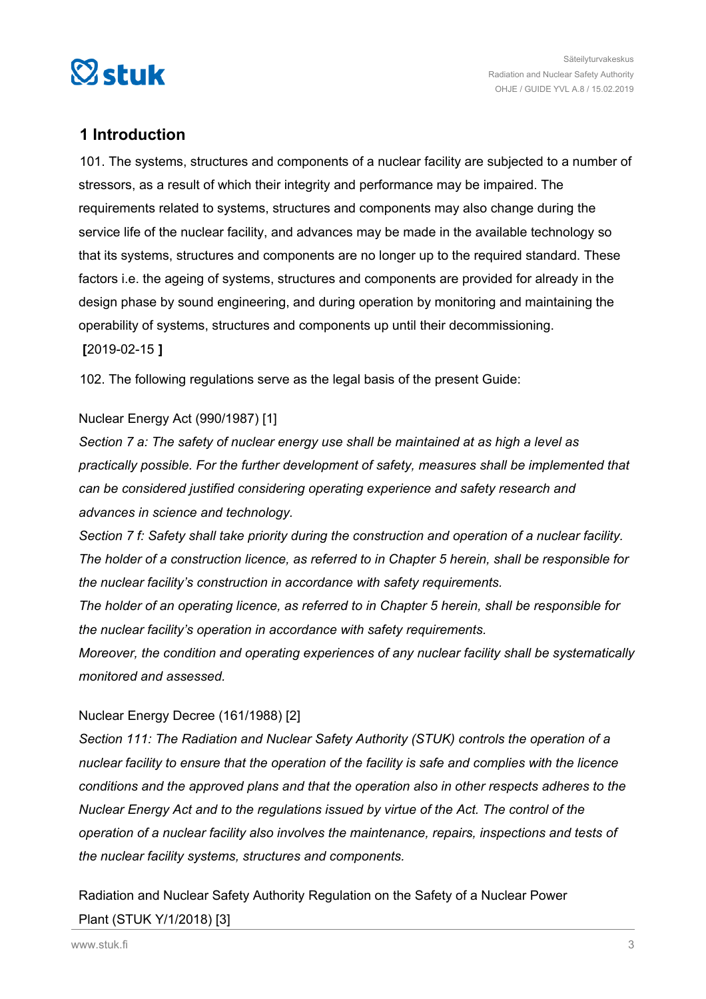<span id="page-2-0"></span>

## **1 Introduction**

101. The systems, structures and components of a nuclear facility are subjected to a number of stressors, as a result of which their integrity and performance may be impaired. The requirements related to systems, structures and components may also change during the service life of the nuclear facility, and advances may be made in the available technology so that its systems, structures and components are no longer up to the required standard. These factors i.e. the ageing of systems, structures and components are provided for already in the design phase by sound engineering, and during operation by monitoring and maintaining the operability of systems, structures and components up until their decommissioning. **[**2019-02-15 **]**

102. The following regulations serve as the legal basis of the present Guide:

#### Nuclear Energy Act (990/1987) [1]

*Section 7 a: The safety of nuclear energy use shall be maintained at as high a level as practically possible. For the further development of safety, measures shall be implemented that can be considered justified considering operating experience and safety research and advances in science and technology.*

*Section 7 f: Safety shall take priority during the construction and operation of a nuclear facility. The holder of a construction licence, as referred to in Chapter 5 herein, shall be responsible for the nuclear facility's construction in accordance with safety requirements.*

*The holder of an operating licence, as referred to in Chapter 5 herein, shall be responsible for the nuclear facility's operation in accordance with safety requirements.*

*Moreover, the condition and operating experiences of any nuclear facility shall be systematically monitored and assessed.*

#### Nuclear Energy Decree (161/1988) [2]

*Section 111: The Radiation and Nuclear Safety Authority (STUK) controls the operation of a nuclear facility to ensure that the operation of the facility is safe and complies with the licence conditions and the approved plans and that the operation also in other respects adheres to the Nuclear Energy Act and to the regulations issued by virtue of the Act. The control of the operation of a nuclear facility also involves the maintenance, repairs, inspections and tests of the nuclear facility systems, structures and components.*

Radiation and Nuclear Safety Authority Regulation on the Safety of a Nuclear Power Plant (STUK Y/1/2018) [3]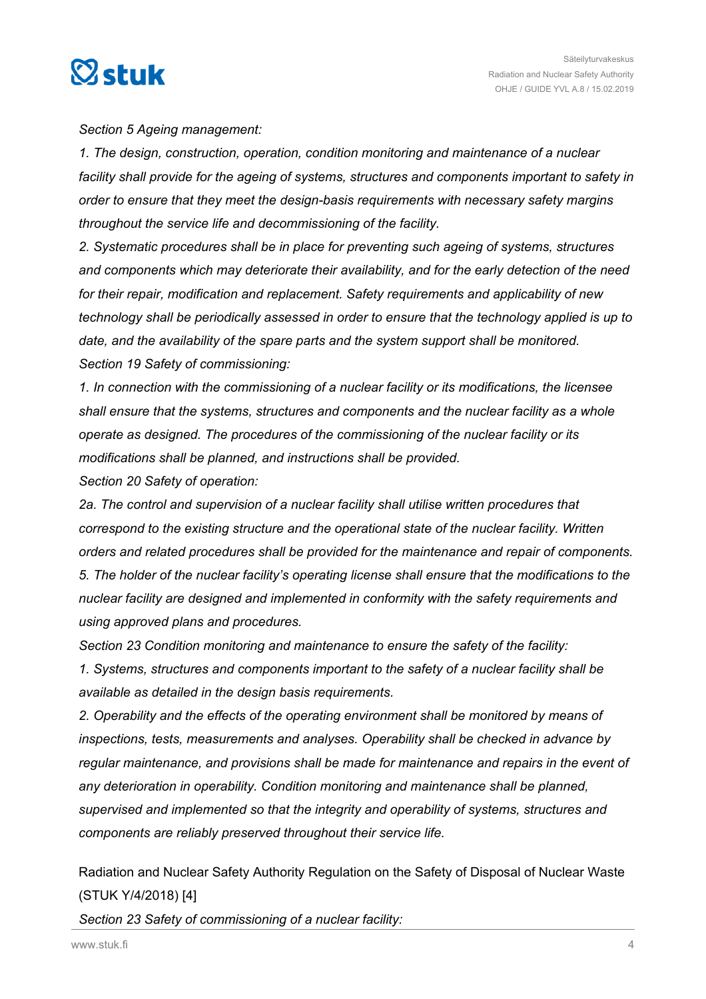

*Section 5 Ageing management:*

*1. The design, construction, operation, condition monitoring and maintenance of a nuclear facility shall provide for the ageing of systems, structures and components important to safety in order to ensure that they meet the design-basis requirements with necessary safety margins throughout the service life and decommissioning of the facility.*

*2. Systematic procedures shall be in place for preventing such ageing of systems, structures and components which may deteriorate their availability, and for the early detection of the need for their repair, modification and replacement. Safety requirements and applicability of new technology shall be periodically assessed in order to ensure that the technology applied is up to date, and the availability of the spare parts and the system support shall be monitored. Section 19 Safety of commissioning:*

*1. In connection with the commissioning of a nuclear facility or its modifications, the licensee shall ensure that the systems, structures and components and the nuclear facility as a whole operate as designed. The procedures of the commissioning of the nuclear facility or its modifications shall be planned, and instructions shall be provided.*

*Section 20 Safety of operation:*

*2a. The control and supervision of a nuclear facility shall utilise written procedures that correspond to the existing structure and the operational state of the nuclear facility. Written orders and related procedures shall be provided for the maintenance and repair of components. 5. The holder of the nuclear facility's operating license shall ensure that the modifications to the nuclear facility are designed and implemented in conformity with the safety requirements and using approved plans and procedures.*

*Section 23 Condition monitoring and maintenance to ensure the safety of the facility: 1. Systems, structures and components important to the safety of a nuclear facility shall be available as detailed in the design basis requirements.*

*2. Operability and the effects of the operating environment shall be monitored by means of inspections, tests, measurements and analyses. Operability shall be checked in advance by regular maintenance, and provisions shall be made for maintenance and repairs in the event of any deterioration in operability. Condition monitoring and maintenance shall be planned, supervised and implemented so that the integrity and operability of systems, structures and components are reliably preserved throughout their service life.*

Radiation and Nuclear Safety Authority Regulation on the Safety of Disposal of Nuclear Waste (STUK Y/4/2018) [4]

*Section 23 Safety of commissioning of a nuclear facility:*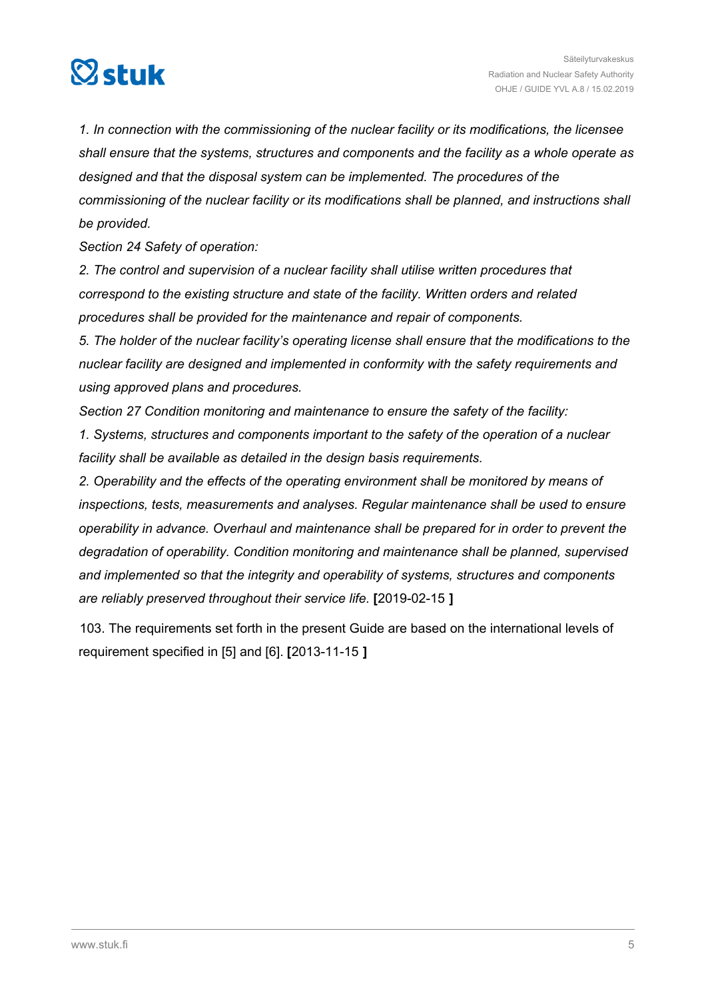

*1. In connection with the commissioning of the nuclear facility or its modifications, the licensee shall ensure that the systems, structures and components and the facility as a whole operate as designed and that the disposal system can be implemented. The procedures of the commissioning of the nuclear facility or its modifications shall be planned, and instructions shall be provided.*

*Section 24 Safety of operation:*

*2. The control and supervision of a nuclear facility shall utilise written procedures that correspond to the existing structure and state of the facility. Written orders and related procedures shall be provided for the maintenance and repair of components.*

*5. The holder of the nuclear facility's operating license shall ensure that the modifications to the nuclear facility are designed and implemented in conformity with the safety requirements and using approved plans and procedures.*

*Section 27 Condition monitoring and maintenance to ensure the safety of the facility:*

*1. Systems, structures and components important to the safety of the operation of a nuclear facility shall be available as detailed in the design basis requirements.*

*2. Operability and the effects of the operating environment shall be monitored by means of inspections, tests, measurements and analyses. Regular maintenance shall be used to ensure operability in advance. Overhaul and maintenance shall be prepared for in order to prevent the degradation of operability. Condition monitoring and maintenance shall be planned, supervised and implemented so that the integrity and operability of systems, structures and components are reliably preserved throughout their service life.* **[**2019-02-15 **]**

103. The requirements set forth in the present Guide are based on the international levels of requirement specified in [5] and [6]. **[**2013-11-15 **]**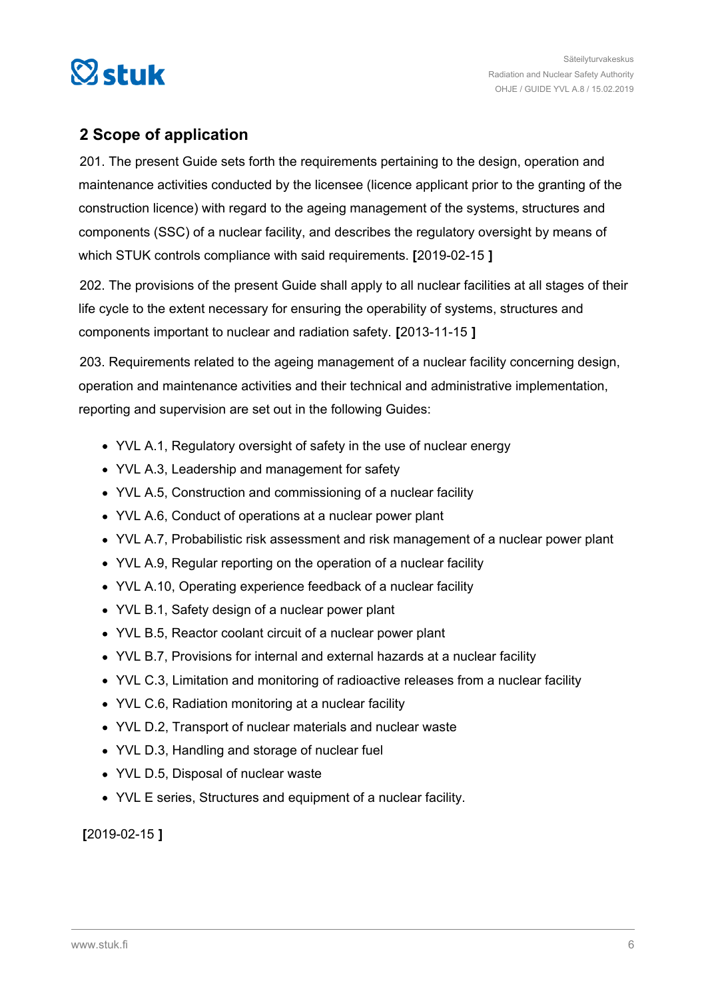<span id="page-5-0"></span>

## **2 Scope of application**

201. The present Guide sets forth the requirements pertaining to the design, operation and maintenance activities conducted by the licensee (licence applicant prior to the granting of the construction licence) with regard to the ageing management of the systems, structures and components (SSC) of a nuclear facility, and describes the regulatory oversight by means of which STUK controls compliance with said requirements. **[**2019-02-15 **]**

202. The provisions of the present Guide shall apply to all nuclear facilities at all stages of their life cycle to the extent necessary for ensuring the operability of systems, structures and components important to nuclear and radiation safety. **[**2013-11-15 **]**

203. Requirements related to the ageing management of a nuclear facility concerning design, operation and maintenance activities and their technical and administrative implementation, reporting and supervision are set out in the following Guides:

- YVL A.1, Regulatory oversight of safety in the use of nuclear energy
- YVL A.3, Leadership and management for safety
- YVL A.5, Construction and commissioning of a nuclear facility
- YVL A.6, Conduct of operations at a nuclear power plant
- YVL A.7, Probabilistic risk assessment and risk management of a nuclear power plant
- YVL A.9, Regular reporting on the operation of a nuclear facility
- YVL A.10, Operating experience feedback of a nuclear facility
- YVL B.1, Safety design of a nuclear power plant
- YVL B.5, Reactor coolant circuit of a nuclear power plant
- YVL B.7, Provisions for internal and external hazards at a nuclear facility
- YVL C.3, Limitation and monitoring of radioactive releases from a nuclear facility
- YVL C.6, Radiation monitoring at a nuclear facility
- YVL D.2, Transport of nuclear materials and nuclear waste
- YVL D.3, Handling and storage of nuclear fuel
- YVL D.5, Disposal of nuclear waste
- YVL E series, Structures and equipment of a nuclear facility.

**[**2019-02-15 **]**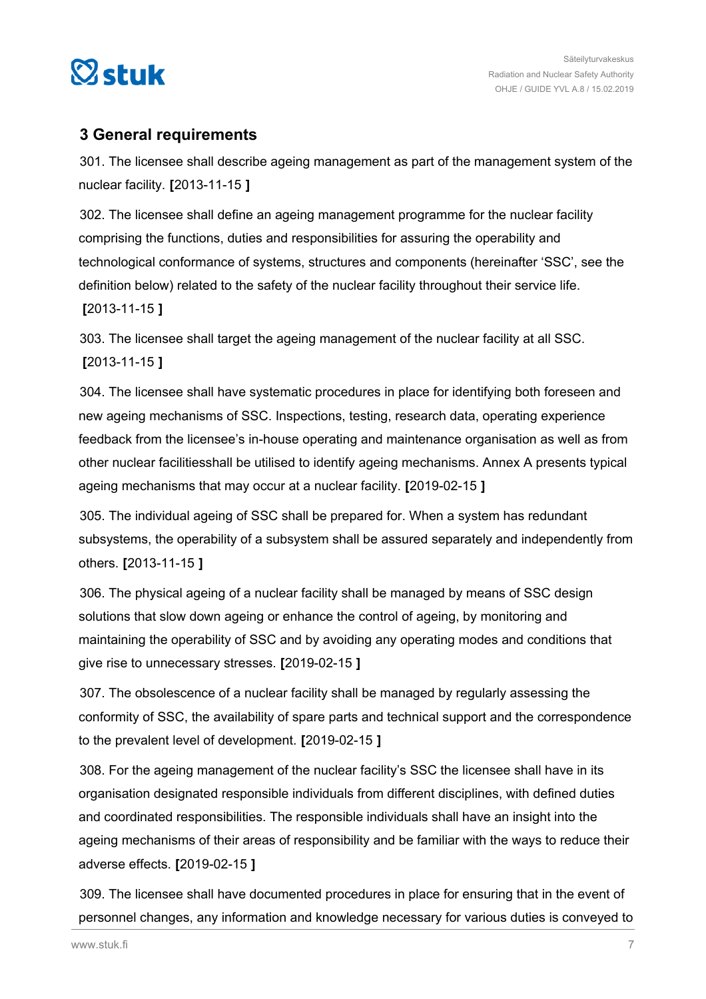<span id="page-6-0"></span>

## **3 General requirements**

301. The licensee shall describe ageing management as part of the management system of the nuclear facility. **[**2013-11-15 **]**

302. The licensee shall define an ageing management programme for the nuclear facility comprising the functions, duties and responsibilities for assuring the operability and technological conformance of systems, structures and components (hereinafter 'SSC', see the definition below) related to the safety of the nuclear facility throughout their service life. **[**2013-11-15 **]**

303. The licensee shall target the ageing management of the nuclear facility at all SSC. **[**2013-11-15 **]**

304. The licensee shall have systematic procedures in place for identifying both foreseen and new ageing mechanisms of SSC. Inspections, testing, research data, operating experience feedback from the licensee's in-house operating and maintenance organisation as well as from other nuclear facilitiesshall be utilised to identify ageing mechanisms. Annex A presents typical ageing mechanisms that may occur at a nuclear facility. **[**2019-02-15 **]**

305. The individual ageing of SSC shall be prepared for. When a system has redundant subsystems, the operability of a subsystem shall be assured separately and independently from others. **[**2013-11-15 **]**

306. The physical ageing of a nuclear facility shall be managed by means of SSC design solutions that slow down ageing or enhance the control of ageing, by monitoring and maintaining the operability of SSC and by avoiding any operating modes and conditions that give rise to unnecessary stresses. **[**2019-02-15 **]**

307. The obsolescence of a nuclear facility shall be managed by regularly assessing the conformity of SSC, the availability of spare parts and technical support and the correspondence to the prevalent level of development. **[**2019-02-15 **]**

308. For the ageing management of the nuclear facility's SSC the licensee shall have in its organisation designated responsible individuals from different disciplines, with defined duties and coordinated responsibilities. The responsible individuals shall have an insight into the ageing mechanisms of their areas of responsibility and be familiar with the ways to reduce their adverse effects. **[**2019-02-15 **]**

309. The licensee shall have documented procedures in place for ensuring that in the event of personnel changes, any information and knowledge necessary for various duties is conveyed to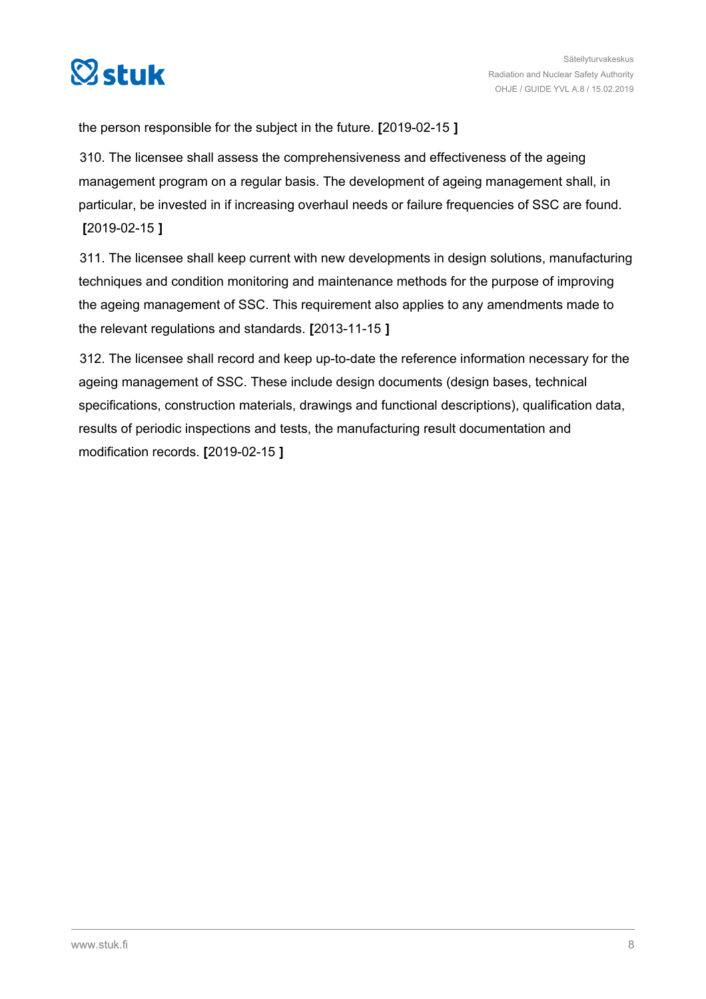

the person responsible for the subject in the future. **[**2019-02-15 **]**

310. The licensee shall assess the comprehensiveness and effectiveness of the ageing management program on a regular basis. The development of ageing management shall, in particular, be invested in if increasing overhaul needs or failure frequencies of SSC are found. **[**2019-02-15 **]**

311. The licensee shall keep current with new developments in design solutions, manufacturing techniques and condition monitoring and maintenance methods for the purpose of improving the ageing management of SSC. This requirement also applies to any amendments made to the relevant regulations and standards. **[**2013-11-15 **]**

312. The licensee shall record and keep up-to-date the reference information necessary for the ageing management of SSC. These include design documents (design bases, technical specifications, construction materials, drawings and functional descriptions), qualification data, results of periodic inspections and tests, the manufacturing result documentation and modification records. **[**2019-02-15 **]**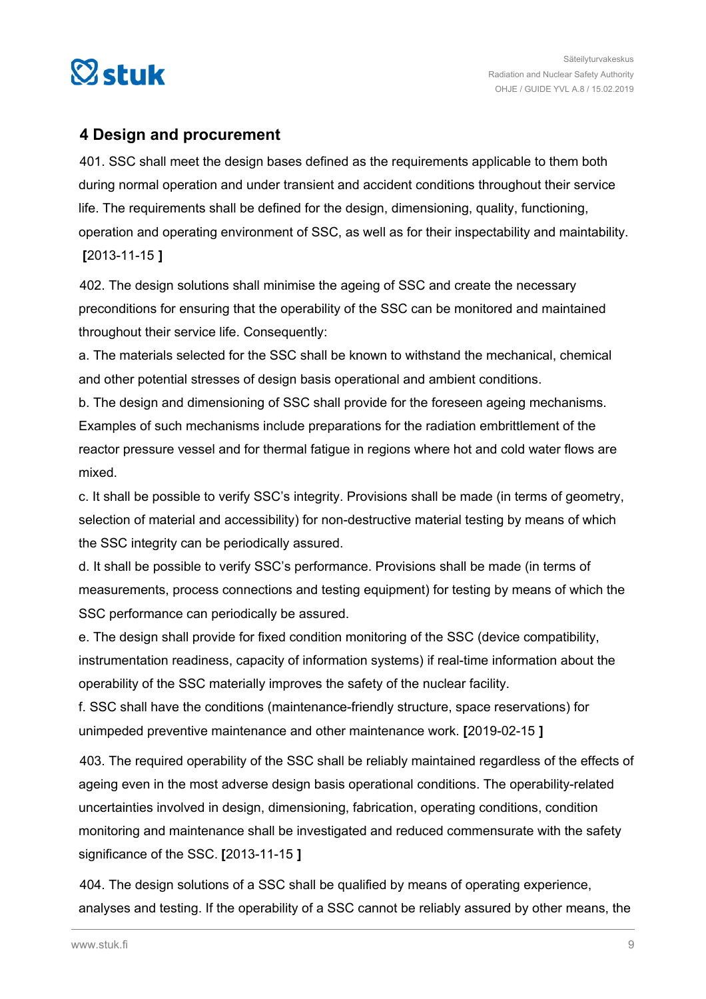<span id="page-8-0"></span>

## **4 Design and procurement**

401. SSC shall meet the design bases defined as the requirements applicable to them both during normal operation and under transient and accident conditions throughout their service life. The requirements shall be defined for the design, dimensioning, quality, functioning, operation and operating environment of SSC, as well as for their inspectability and maintability. **[**2013-11-15 **]**

402. The design solutions shall minimise the ageing of SSC and create the necessary preconditions for ensuring that the operability of the SSC can be monitored and maintained throughout their service life. Consequently:

a. The materials selected for the SSC shall be known to withstand the mechanical, chemical and other potential stresses of design basis operational and ambient conditions.

b. The design and dimensioning of SSC shall provide for the foreseen ageing mechanisms. Examples of such mechanisms include preparations for the radiation embrittlement of the reactor pressure vessel and for thermal fatigue in regions where hot and cold water flows are mixed.

c. It shall be possible to verify SSC's integrity. Provisions shall be made (in terms of geometry, selection of material and accessibility) for non-destructive material testing by means of which the SSC integrity can be periodically assured.

d. It shall be possible to verify SSC's performance. Provisions shall be made (in terms of measurements, process connections and testing equipment) for testing by means of which the SSC performance can periodically be assured.

e. The design shall provide for fixed condition monitoring of the SSC (device compatibility, instrumentation readiness, capacity of information systems) if real-time information about the operability of the SSC materially improves the safety of the nuclear facility.

f. SSC shall have the conditions (maintenance-friendly structure, space reservations) for unimpeded preventive maintenance and other maintenance work. **[**2019-02-15 **]**

403. The required operability of the SSC shall be reliably maintained regardless of the effects of ageing even in the most adverse design basis operational conditions. The operability-related uncertainties involved in design, dimensioning, fabrication, operating conditions, condition monitoring and maintenance shall be investigated and reduced commensurate with the safety significance of the SSC. **[**2013-11-15 **]**

404. The design solutions of a SSC shall be qualified by means of operating experience, analyses and testing. If the operability of a SSC cannot be reliably assured by other means, the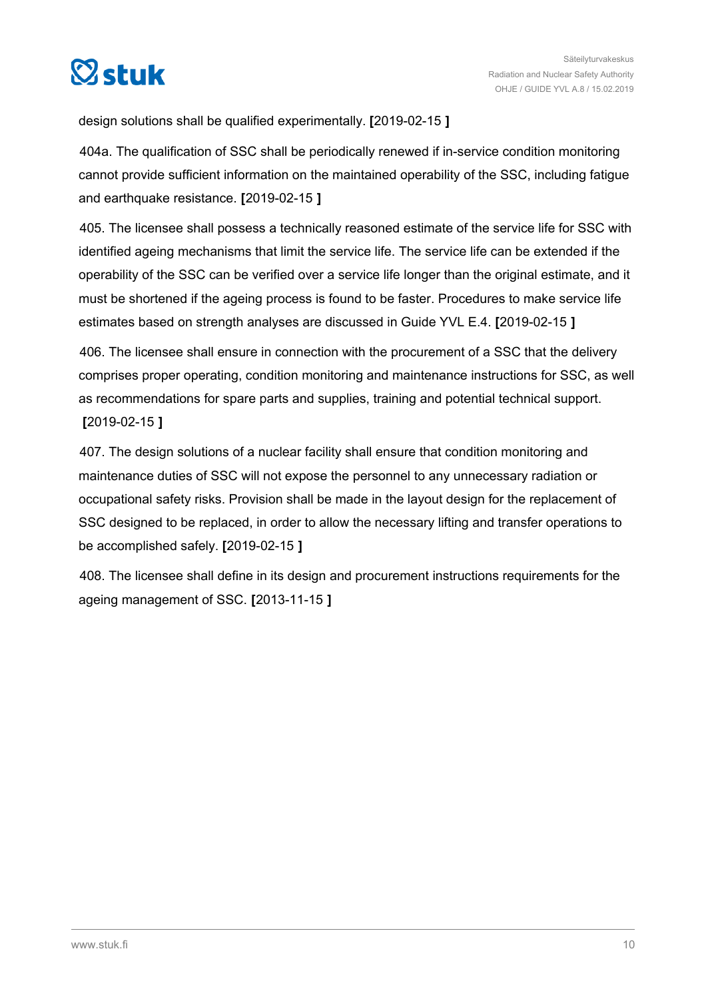

design solutions shall be qualified experimentally. **[**2019-02-15 **]**

404a. The qualification of SSC shall be periodically renewed if in-service condition monitoring cannot provide sufficient information on the maintained operability of the SSC, including fatigue and earthquake resistance. **[**2019-02-15 **]**

405. The licensee shall possess a technically reasoned estimate of the service life for SSC with identified ageing mechanisms that limit the service life. The service life can be extended if the operability of the SSC can be verified over a service life longer than the original estimate, and it must be shortened if the ageing process is found to be faster. Procedures to make service life estimates based on strength analyses are discussed in Guide YVL E.4. **[**2019-02-15 **]**

406. The licensee shall ensure in connection with the procurement of a SSC that the delivery comprises proper operating, condition monitoring and maintenance instructions for SSC, as well as recommendations for spare parts and supplies, training and potential technical support. **[**2019-02-15 **]**

407. The design solutions of a nuclear facility shall ensure that condition monitoring and maintenance duties of SSC will not expose the personnel to any unnecessary radiation or occupational safety risks. Provision shall be made in the layout design for the replacement of SSC designed to be replaced, in order to allow the necessary lifting and transfer operations to be accomplished safely. **[**2019-02-15 **]**

408. The licensee shall define in its design and procurement instructions requirements for the ageing management of SSC. **[**2013-11-15 **]**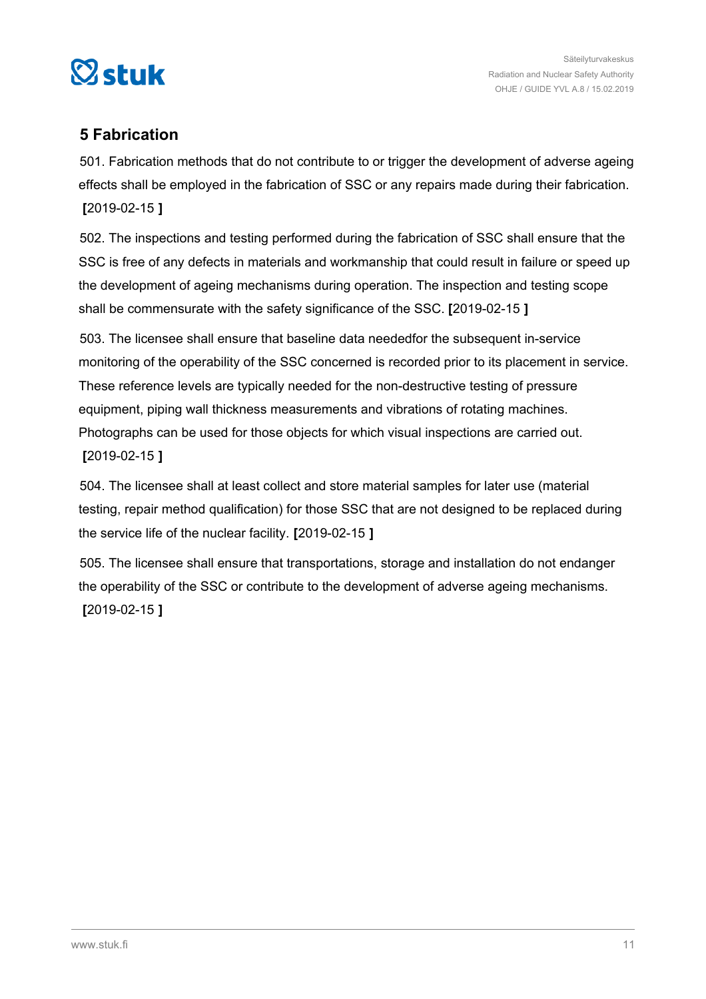<span id="page-10-0"></span>

## **5 Fabrication**

501. Fabrication methods that do not contribute to or trigger the development of adverse ageing effects shall be employed in the fabrication of SSC or any repairs made during their fabrication. **[**2019-02-15 **]**

502. The inspections and testing performed during the fabrication of SSC shall ensure that the SSC is free of any defects in materials and workmanship that could result in failure or speed up the development of ageing mechanisms during operation. The inspection and testing scope shall be commensurate with the safety significance of the SSC. **[**2019-02-15 **]**

503. The licensee shall ensure that baseline data neededfor the subsequent in-service monitoring of the operability of the SSC concerned is recorded prior to its placement in service. These reference levels are typically needed for the non-destructive testing of pressure equipment, piping wall thickness measurements and vibrations of rotating machines. Photographs can be used for those objects for which visual inspections are carried out. **[**2019-02-15 **]**

504. The licensee shall at least collect and store material samples for later use (material testing, repair method qualification) for those SSC that are not designed to be replaced during the service life of the nuclear facility. **[**2019-02-15 **]**

505. The licensee shall ensure that transportations, storage and installation do not endanger the operability of the SSC or contribute to the development of adverse ageing mechanisms. **[**2019-02-15 **]**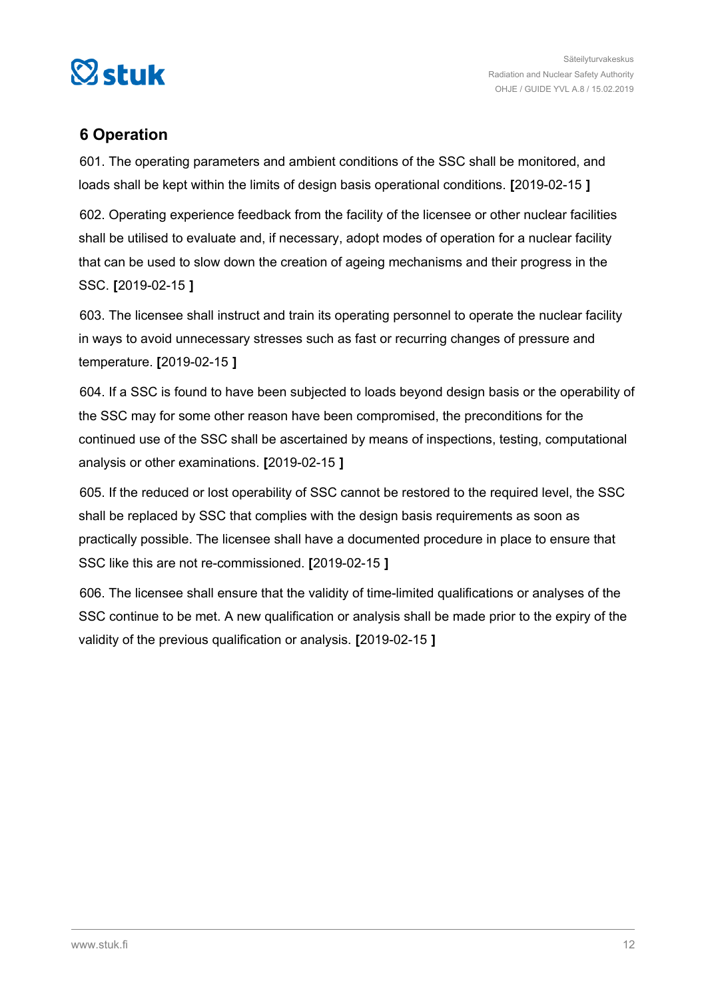<span id="page-11-0"></span>

## **6 Operation**

601. The operating parameters and ambient conditions of the SSC shall be monitored, and loads shall be kept within the limits of design basis operational conditions. **[**2019-02-15 **]**

602. Operating experience feedback from the facility of the licensee or other nuclear facilities shall be utilised to evaluate and, if necessary, adopt modes of operation for a nuclear facility that can be used to slow down the creation of ageing mechanisms and their progress in the SSC. **[**2019-02-15 **]**

603. The licensee shall instruct and train its operating personnel to operate the nuclear facility in ways to avoid unnecessary stresses such as fast or recurring changes of pressure and temperature. **[**2019-02-15 **]**

604. If a SSC is found to have been subjected to loads beyond design basis or the operability of the SSC may for some other reason have been compromised, the preconditions for the continued use of the SSC shall be ascertained by means of inspections, testing, computational analysis or other examinations. **[**2019-02-15 **]**

605. If the reduced or lost operability of SSC cannot be restored to the required level, the SSC shall be replaced by SSC that complies with the design basis requirements as soon as practically possible. The licensee shall have a documented procedure in place to ensure that SSC like this are not re-commissioned. **[**2019-02-15 **]**

606. The licensee shall ensure that the validity of time-limited qualifications or analyses of the SSC continue to be met. A new qualification or analysis shall be made prior to the expiry of the validity of the previous qualification or analysis. **[**2019-02-15 **]**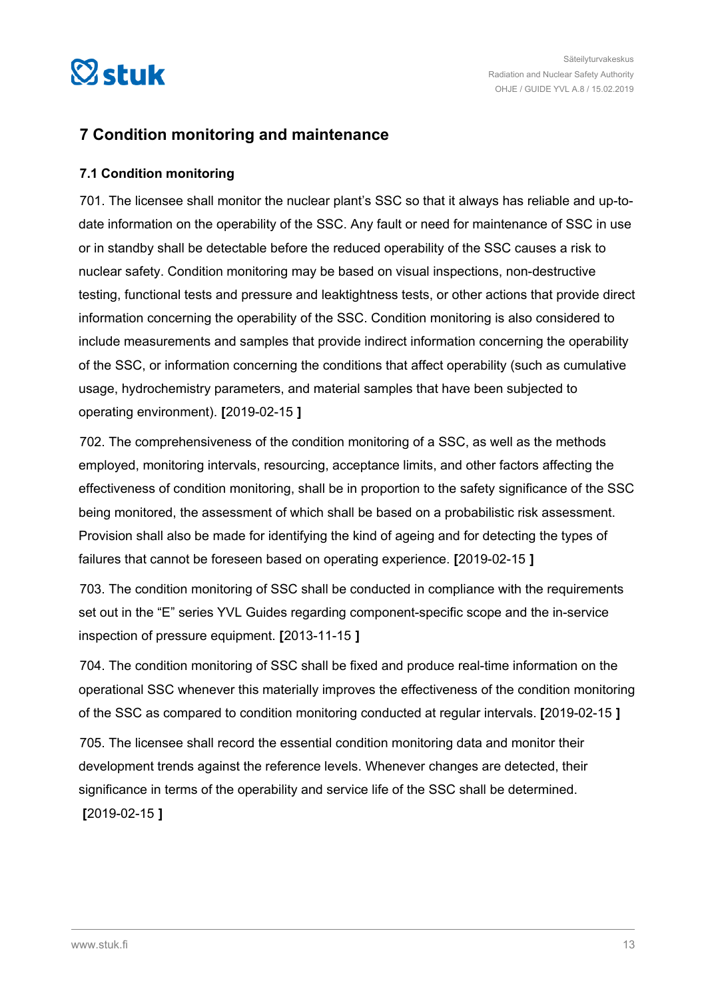<span id="page-12-0"></span>

## **7 Condition monitoring and maintenance**

#### **7.1 Condition monitoring**

701. The licensee shall monitor the nuclear plant's SSC so that it always has reliable and up-todate information on the operability of the SSC. Any fault or need for maintenance of SSC in use or in standby shall be detectable before the reduced operability of the SSC causes a risk to nuclear safety. Condition monitoring may be based on visual inspections, non-destructive testing, functional tests and pressure and leaktightness tests, or other actions that provide direct information concerning the operability of the SSC. Condition monitoring is also considered to include measurements and samples that provide indirect information concerning the operability of the SSC, or information concerning the conditions that affect operability (such as cumulative usage, hydrochemistry parameters, and material samples that have been subjected to operating environment). **[**2019-02-15 **]**

702. The comprehensiveness of the condition monitoring of a SSC, as well as the methods employed, monitoring intervals, resourcing, acceptance limits, and other factors affecting the effectiveness of condition monitoring, shall be in proportion to the safety significance of the SSC being monitored, the assessment of which shall be based on a probabilistic risk assessment. Provision shall also be made for identifying the kind of ageing and for detecting the types of failures that cannot be foreseen based on operating experience. **[**2019-02-15 **]**

703. The condition monitoring of SSC shall be conducted in compliance with the requirements set out in the "E" series YVL Guides regarding component-specific scope and the in-service inspection of pressure equipment. **[**2013-11-15 **]**

704. The condition monitoring of SSC shall be fixed and produce real-time information on the operational SSC whenever this materially improves the effectiveness of the condition monitoring of the SSC as compared to condition monitoring conducted at regular intervals. **[**2019-02-15 **]**

705. The licensee shall record the essential condition monitoring data and monitor their development trends against the reference levels. Whenever changes are detected, their significance in terms of the operability and service life of the SSC shall be determined. **[**2019-02-15 **]**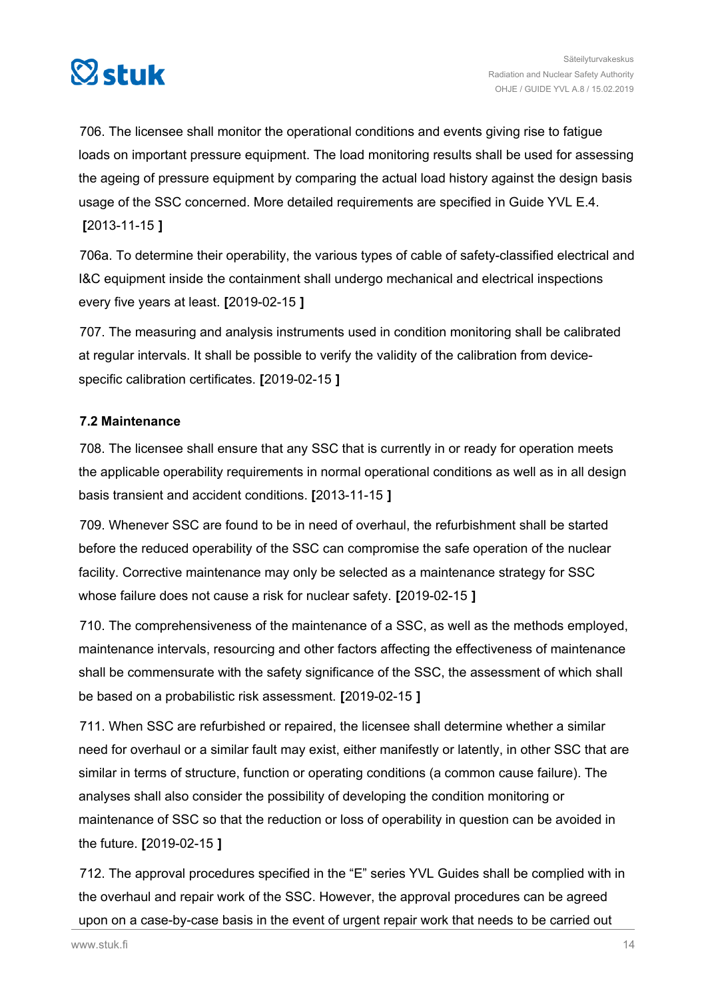<span id="page-13-0"></span>

706. The licensee shall monitor the operational conditions and events giving rise to fatigue loads on important pressure equipment. The load monitoring results shall be used for assessing the ageing of pressure equipment by comparing the actual load history against the design basis usage of the SSC concerned. More detailed requirements are specified in Guide YVL E.4. **[**2013-11-15 **]**

706a. To determine their operability, the various types of cable of safety-classified electrical and I&C equipment inside the containment shall undergo mechanical and electrical inspections every five years at least. **[**2019-02-15 **]**

707. The measuring and analysis instruments used in condition monitoring shall be calibrated at regular intervals. It shall be possible to verify the validity of the calibration from devicespecific calibration certificates. **[**2019-02-15 **]**

#### **7.2 Maintenance**

708. The licensee shall ensure that any SSC that is currently in or ready for operation meets the applicable operability requirements in normal operational conditions as well as in all design basis transient and accident conditions. **[**2013-11-15 **]**

709. Whenever SSC are found to be in need of overhaul, the refurbishment shall be started before the reduced operability of the SSC can compromise the safe operation of the nuclear facility. Corrective maintenance may only be selected as a maintenance strategy for SSC whose failure does not cause a risk for nuclear safety. **[**2019-02-15 **]**

710. The comprehensiveness of the maintenance of a SSC, as well as the methods employed, maintenance intervals, resourcing and other factors affecting the effectiveness of maintenance shall be commensurate with the safety significance of the SSC, the assessment of which shall be based on a probabilistic risk assessment. **[**2019-02-15 **]**

711. When SSC are refurbished or repaired, the licensee shall determine whether a similar need for overhaul or a similar fault may exist, either manifestly or latently, in other SSC that are similar in terms of structure, function or operating conditions (a common cause failure). The analyses shall also consider the possibility of developing the condition monitoring or maintenance of SSC so that the reduction or loss of operability in question can be avoided in the future. **[**2019-02-15 **]**

712. The approval procedures specified in the "E" series YVL Guides shall be complied with in the overhaul and repair work of the SSC. However, the approval procedures can be agreed upon on a case-by-case basis in the event of urgent repair work that needs to be carried out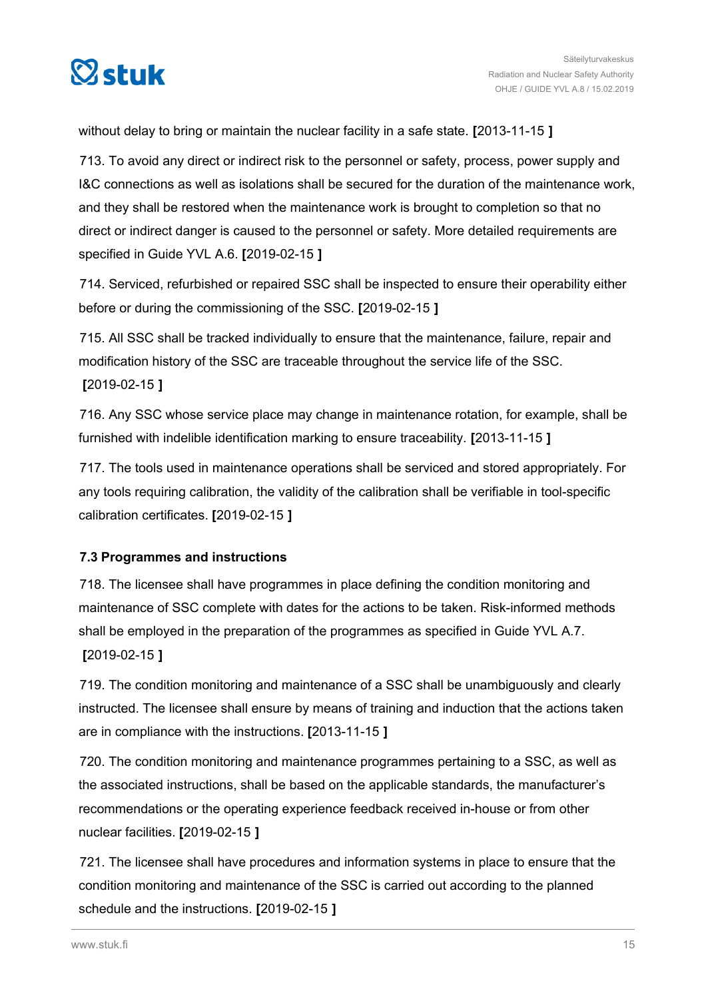<span id="page-14-0"></span>

without delay to bring or maintain the nuclear facility in a safe state. **[**2013-11-15 **]**

713. To avoid any direct or indirect risk to the personnel or safety, process, power supply and I&C connections as well as isolations shall be secured for the duration of the maintenance work, and they shall be restored when the maintenance work is brought to completion so that no direct or indirect danger is caused to the personnel or safety. More detailed requirements are specified in Guide YVL A.6. **[**2019-02-15 **]**

714. Serviced, refurbished or repaired SSC shall be inspected to ensure their operability either before or during the commissioning of the SSC. **[**2019-02-15 **]**

715. All SSC shall be tracked individually to ensure that the maintenance, failure, repair and modification history of the SSC are traceable throughout the service life of the SSC. **[**2019-02-15 **]**

716. Any SSC whose service place may change in maintenance rotation, for example, shall be furnished with indelible identification marking to ensure traceability. **[**2013-11-15 **]**

717. The tools used in maintenance operations shall be serviced and stored appropriately. For any tools requiring calibration, the validity of the calibration shall be verifiable in tool-specific calibration certificates. **[**2019-02-15 **]**

#### **7.3 Programmes and instructions**

718. The licensee shall have programmes in place defining the condition monitoring and maintenance of SSC complete with dates for the actions to be taken. Risk-informed methods shall be employed in the preparation of the programmes as specified in Guide YVL A.7. **[**2019-02-15 **]**

719. The condition monitoring and maintenance of a SSC shall be unambiguously and clearly instructed. The licensee shall ensure by means of training and induction that the actions taken are in compliance with the instructions. **[**2013-11-15 **]**

720. The condition monitoring and maintenance programmes pertaining to a SSC, as well as the associated instructions, shall be based on the applicable standards, the manufacturer's recommendations or the operating experience feedback received in-house or from other nuclear facilities. **[**2019-02-15 **]**

721. The licensee shall have procedures and information systems in place to ensure that the condition monitoring and maintenance of the SSC is carried out according to the planned schedule and the instructions. **[**2019-02-15 **]**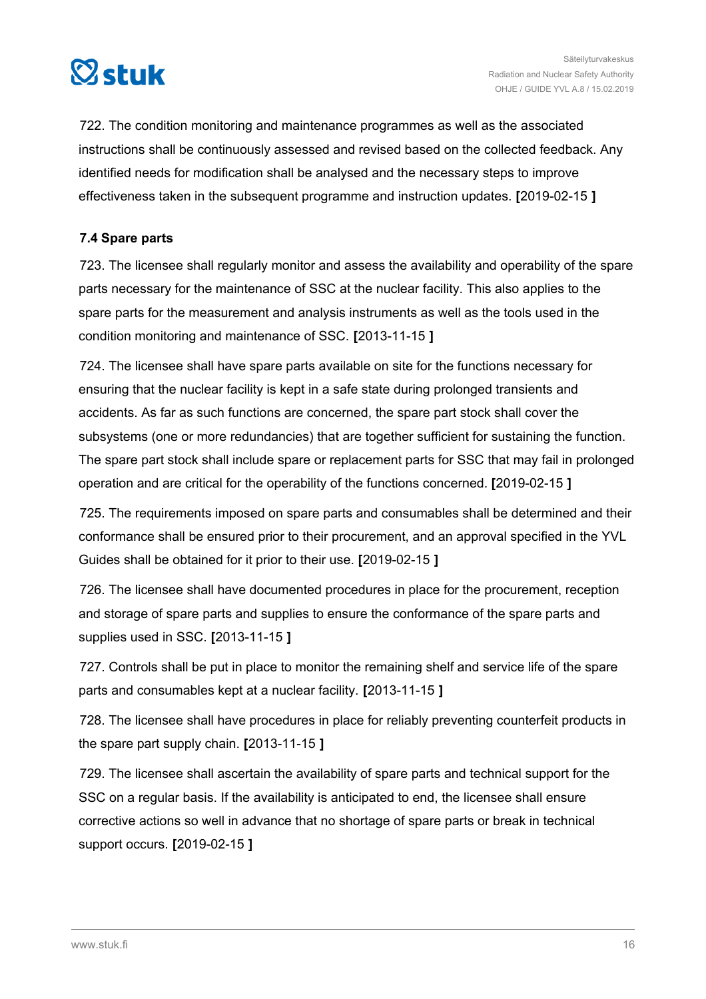<span id="page-15-0"></span>

722. The condition monitoring and maintenance programmes as well as the associated instructions shall be continuously assessed and revised based on the collected feedback. Any identified needs for modification shall be analysed and the necessary steps to improve effectiveness taken in the subsequent programme and instruction updates. **[**2019-02-15 **]**

#### **7.4 Spare parts**

723. The licensee shall regularly monitor and assess the availability and operability of the spare parts necessary for the maintenance of SSC at the nuclear facility. This also applies to the spare parts for the measurement and analysis instruments as well as the tools used in the condition monitoring and maintenance of SSC. **[**2013-11-15 **]**

724. The licensee shall have spare parts available on site for the functions necessary for ensuring that the nuclear facility is kept in a safe state during prolonged transients and accidents. As far as such functions are concerned, the spare part stock shall cover the subsystems (one or more redundancies) that are together sufficient for sustaining the function. The spare part stock shall include spare or replacement parts for SSC that may fail in prolonged operation and are critical for the operability of the functions concerned. **[**2019-02-15 **]**

725. The requirements imposed on spare parts and consumables shall be determined and their conformance shall be ensured prior to their procurement, and an approval specified in the YVL Guides shall be obtained for it prior to their use. **[**2019-02-15 **]**

726. The licensee shall have documented procedures in place for the procurement, reception and storage of spare parts and supplies to ensure the conformance of the spare parts and supplies used in SSC. **[**2013-11-15 **]**

727. Controls shall be put in place to monitor the remaining shelf and service life of the spare parts and consumables kept at a nuclear facility. **[**2013-11-15 **]**

728. The licensee shall have procedures in place for reliably preventing counterfeit products in the spare part supply chain. **[**2013-11-15 **]**

729. The licensee shall ascertain the availability of spare parts and technical support for the SSC on a regular basis. If the availability is anticipated to end, the licensee shall ensure corrective actions so well in advance that no shortage of spare parts or break in technical support occurs. **[**2019-02-15 **]**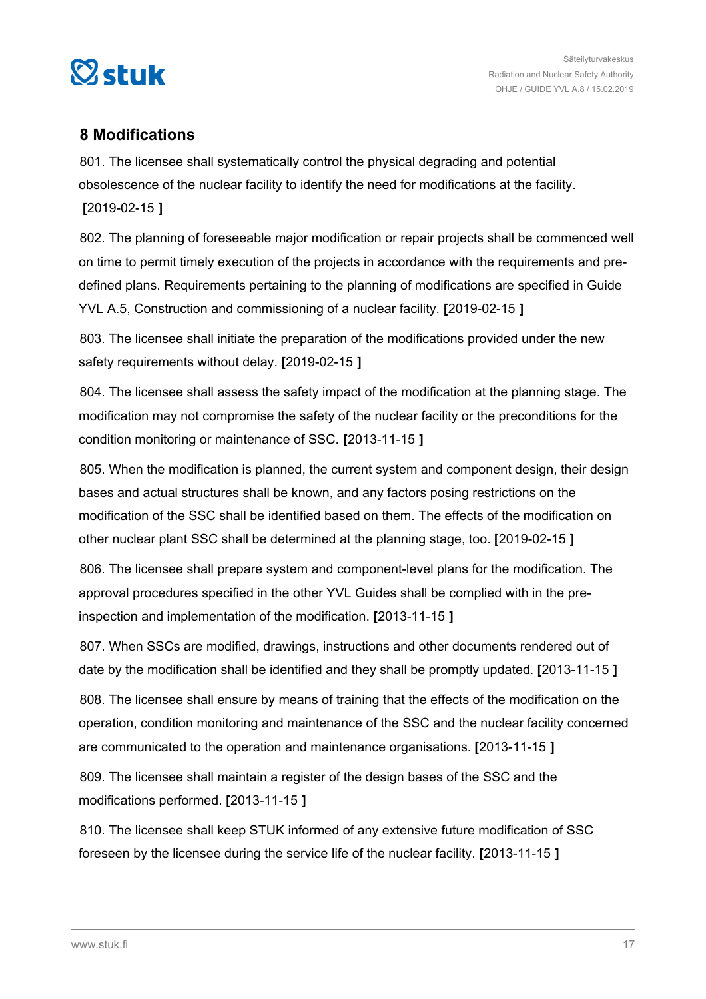<span id="page-16-0"></span>

## **8 Modifications**

801. The licensee shall systematically control the physical degrading and potential obsolescence of the nuclear facility to identify the need for modifications at the facility. **[**2019-02-15 **]**

802. The planning of foreseeable major modification or repair projects shall be commenced well on time to permit timely execution of the projects in accordance with the requirements and predefined plans. Requirements pertaining to the planning of modifications are specified in Guide YVL A.5, Construction and commissioning of a nuclear facility. **[**2019-02-15 **]**

803. The licensee shall initiate the preparation of the modifications provided under the new safety requirements without delay. **[**2019-02-15 **]**

804. The licensee shall assess the safety impact of the modification at the planning stage. The modification may not compromise the safety of the nuclear facility or the preconditions for the condition monitoring or maintenance of SSC. **[**2013-11-15 **]**

805. When the modification is planned, the current system and component design, their design bases and actual structures shall be known, and any factors posing restrictions on the modification of the SSC shall be identified based on them. The effects of the modification on other nuclear plant SSC shall be determined at the planning stage, too. **[**2019-02-15 **]**

806. The licensee shall prepare system and component-level plans for the modification. The approval procedures specified in the other YVL Guides shall be complied with in the preinspection and implementation of the modification. **[**2013-11-15 **]**

807. When SSCs are modified, drawings, instructions and other documents rendered out of date by the modification shall be identified and they shall be promptly updated. **[**2013-11-15 **]**

808. The licensee shall ensure by means of training that the effects of the modification on the operation, condition monitoring and maintenance of the SSC and the nuclear facility concerned are communicated to the operation and maintenance organisations. **[**2013-11-15 **]**

809. The licensee shall maintain a register of the design bases of the SSC and the modifications performed. **[**2013-11-15 **]**

810. The licensee shall keep STUK informed of any extensive future modification of SSC foreseen by the licensee during the service life of the nuclear facility. **[**2013-11-15 **]**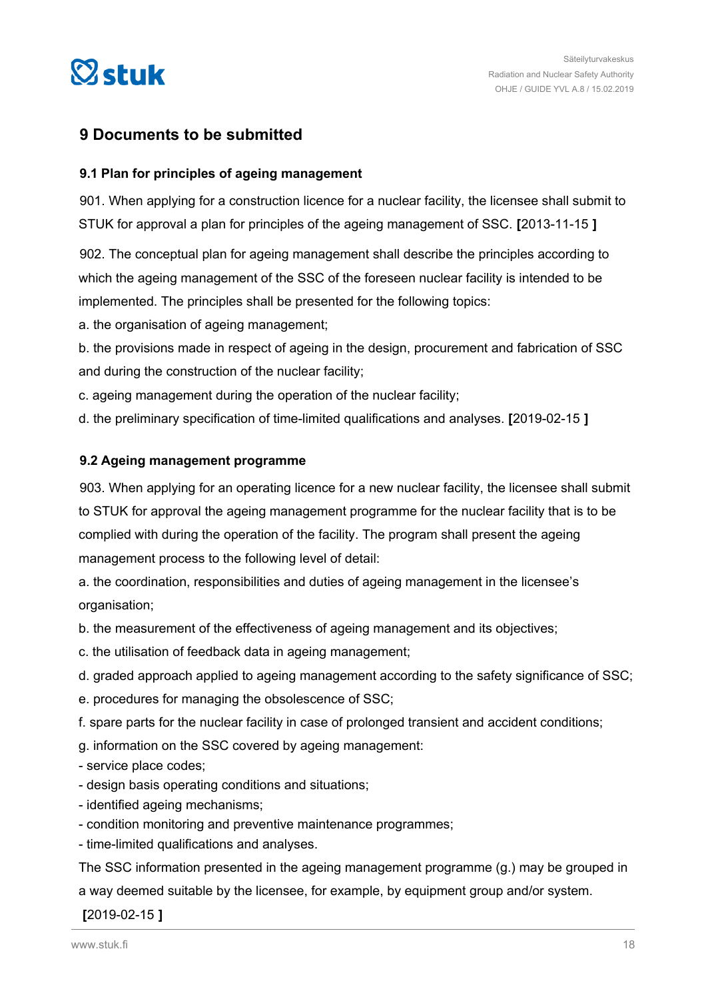<span id="page-17-0"></span>

## **9 Documents to be submitted**

#### **9.1 Plan for principles of ageing management**

901. When applying for a construction licence for a nuclear facility, the licensee shall submit to STUK for approval a plan for principles of the ageing management of SSC. **[**2013-11-15 **]**

902. The conceptual plan for ageing management shall describe the principles according to which the ageing management of the SSC of the foreseen nuclear facility is intended to be implemented. The principles shall be presented for the following topics:

a. the organisation of ageing management;

b. the provisions made in respect of ageing in the design, procurement and fabrication of SSC and during the construction of the nuclear facility;

c. ageing management during the operation of the nuclear facility;

d. the preliminary specification of time-limited qualifications and analyses. **[**2019-02-15 **]**

#### **9.2 Ageing management programme**

903. When applying for an operating licence for a new nuclear facility, the licensee shall submit to STUK for approval the ageing management programme for the nuclear facility that is to be complied with during the operation of the facility. The program shall present the ageing management process to the following level of detail:

a. the coordination, responsibilities and duties of ageing management in the licensee's organisation;

b. the measurement of the effectiveness of ageing management and its objectives;

c. the utilisation of feedback data in ageing management;

d. graded approach applied to ageing management according to the safety significance of SSC;

e. procedures for managing the obsolescence of SSC;

f. spare parts for the nuclear facility in case of prolonged transient and accident conditions;

g. information on the SSC covered by ageing management:

- service place codes;

- design basis operating conditions and situations;
- identified ageing mechanisms;
- condition monitoring and preventive maintenance programmes;

- time-limited qualifications and analyses.

The SSC information presented in the ageing management programme (g.) may be grouped in a way deemed suitable by the licensee, for example, by equipment group and/or system.

**[**2019-02-15 **]**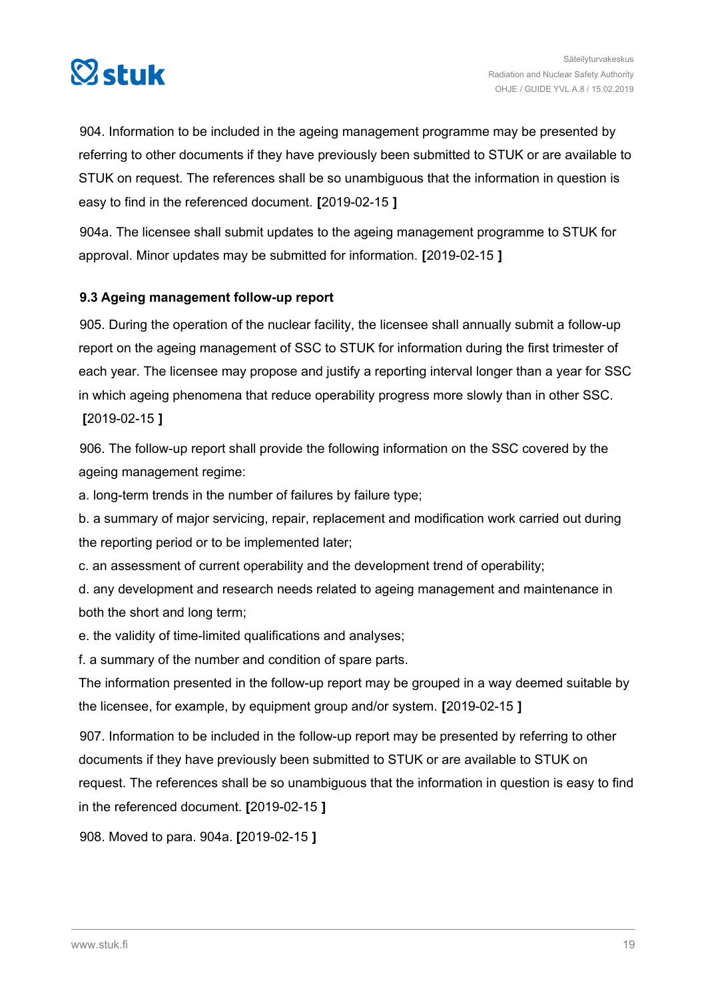<span id="page-18-0"></span>

904. Information to be included in the ageing management programme may be presented by referring to other documents if they have previously been submitted to STUK or are available to STUK on request. The references shall be so unambiguous that the information in question is easy to find in the referenced document. **[**2019-02-15 **]**

904a. The licensee shall submit updates to the ageing management programme to STUK for approval. Minor updates may be submitted for information. **[**2019-02-15 **]**

#### **9.3 Ageing management follow-up report**

905. During the operation of the nuclear facility, the licensee shall annually submit a follow-up report on the ageing management of SSC to STUK for information during the first trimester of each year. The licensee may propose and justify a reporting interval longer than a year for SSC in which ageing phenomena that reduce operability progress more slowly than in other SSC. **[**2019-02-15 **]**

906. The follow-up report shall provide the following information on the SSC covered by the ageing management regime:

a. long-term trends in the number of failures by failure type;

b. a summary of major servicing, repair, replacement and modification work carried out during the reporting period or to be implemented later;

c. an assessment of current operability and the development trend of operability;

d. any development and research needs related to ageing management and maintenance in both the short and long term;

e. the validity of time-limited qualifications and analyses;

f. a summary of the number and condition of spare parts.

The information presented in the follow-up report may be grouped in a way deemed suitable by the licensee, for example, by equipment group and/or system. **[**2019-02-15 **]**

907. Information to be included in the follow-up report may be presented by referring to other documents if they have previously been submitted to STUK or are available to STUK on request. The references shall be so unambiguous that the information in question is easy to find in the referenced document. **[**2019-02-15 **]**

908. Moved to para. 904a. **[**2019-02-15 **]**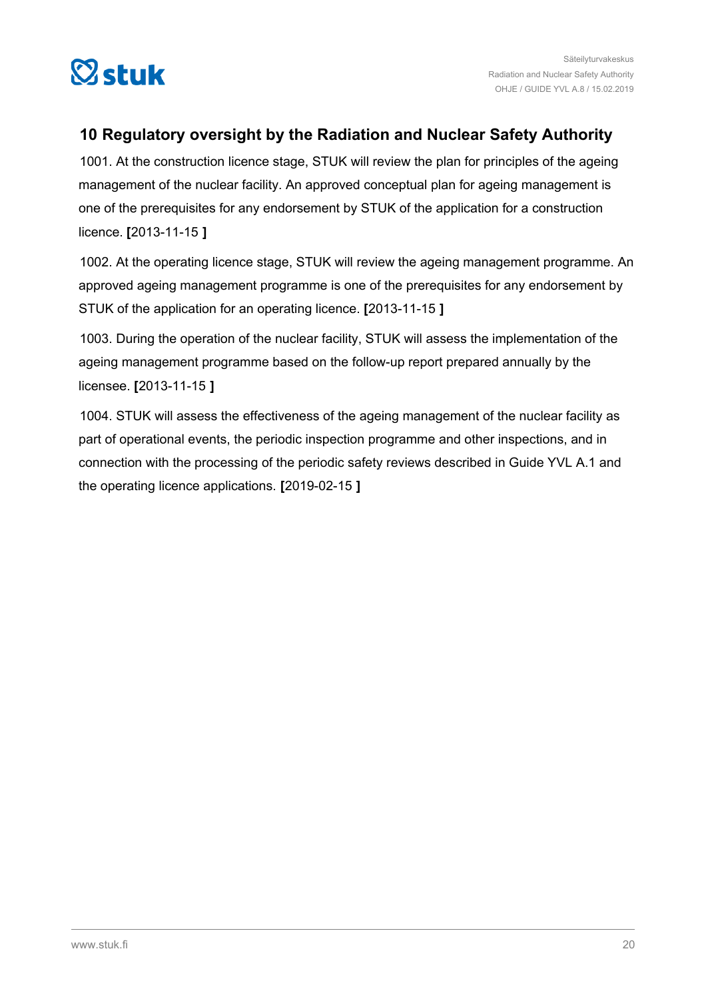<span id="page-19-0"></span>

## **10 Regulatory oversight by the Radiation and Nuclear Safety Authority**

1001. At the construction licence stage, STUK will review the plan for principles of the ageing management of the nuclear facility. An approved conceptual plan for ageing management is one of the prerequisites for any endorsement by STUK of the application for a construction licence. **[**2013-11-15 **]**

1002. At the operating licence stage, STUK will review the ageing management programme. An approved ageing management programme is one of the prerequisites for any endorsement by STUK of the application for an operating licence. **[**2013-11-15 **]**

1003. During the operation of the nuclear facility, STUK will assess the implementation of the ageing management programme based on the follow-up report prepared annually by the licensee. **[**2013-11-15 **]**

1004. STUK will assess the effectiveness of the ageing management of the nuclear facility as part of operational events, the periodic inspection programme and other inspections, and in connection with the processing of the periodic safety reviews described in Guide YVL A.1 and the operating licence applications. **[**2019-02-15 **]**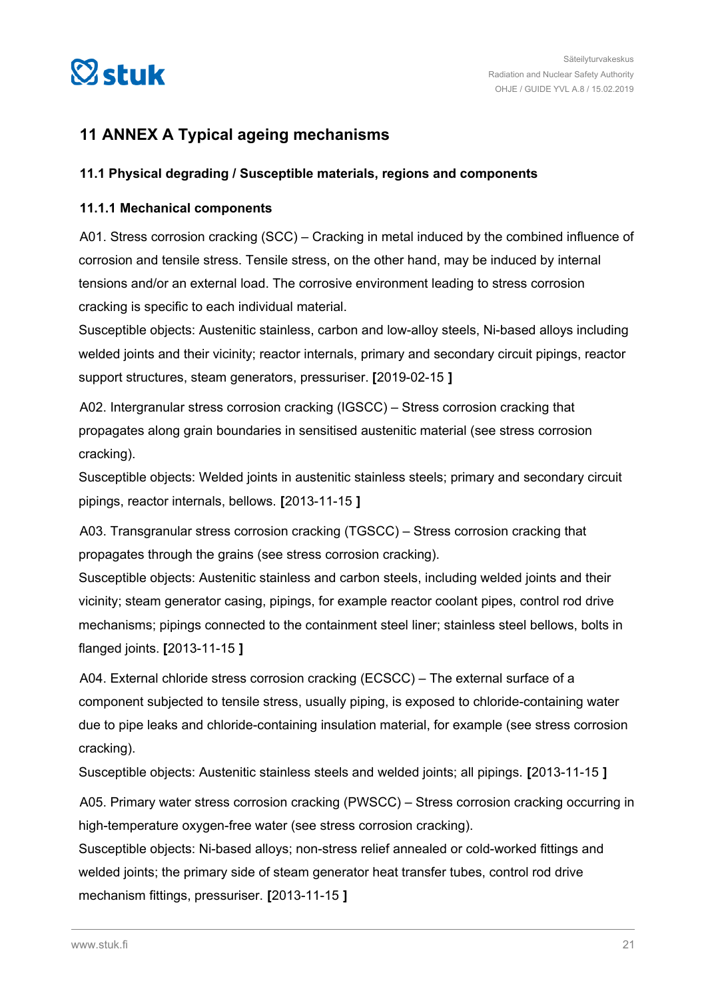<span id="page-20-0"></span>

## **11 ANNEX A Typical ageing mechanisms**

#### **11.1 Physical degrading / Susceptible materials, regions and components**

#### **11.1.1 Mechanical components**

A01. Stress corrosion cracking (SCC) – Cracking in metal induced by the combined influence of corrosion and tensile stress. Tensile stress, on the other hand, may be induced by internal tensions and/or an external load. The corrosive environment leading to stress corrosion cracking is specific to each individual material.

Susceptible objects: Austenitic stainless, carbon and low-alloy steels, Ni-based alloys including welded joints and their vicinity; reactor internals, primary and secondary circuit pipings, reactor support structures, steam generators, pressuriser. **[**2019-02-15 **]**

A02. Intergranular stress corrosion cracking (IGSCC) – Stress corrosion cracking that propagates along grain boundaries in sensitised austenitic material (see stress corrosion cracking).

Susceptible objects: Welded joints in austenitic stainless steels; primary and secondary circuit pipings, reactor internals, bellows. **[**2013-11-15 **]**

A03. Transgranular stress corrosion cracking (TGSCC) – Stress corrosion cracking that propagates through the grains (see stress corrosion cracking).

Susceptible objects: Austenitic stainless and carbon steels, including welded joints and their vicinity; steam generator casing, pipings, for example reactor coolant pipes, control rod drive mechanisms; pipings connected to the containment steel liner; stainless steel bellows, bolts in flanged joints. **[**2013-11-15 **]**

A04. External chloride stress corrosion cracking (ECSCC) – The external surface of a component subjected to tensile stress, usually piping, is exposed to chloride-containing water due to pipe leaks and chloride-containing insulation material, for example (see stress corrosion cracking).

Susceptible objects: Austenitic stainless steels and welded joints; all pipings. **[**2013-11-15 **]**

A05. Primary water stress corrosion cracking (PWSCC) – Stress corrosion cracking occurring in high-temperature oxygen-free water (see stress corrosion cracking).

Susceptible objects: Ni-based alloys; non-stress relief annealed or cold-worked fittings and welded joints; the primary side of steam generator heat transfer tubes, control rod drive mechanism fittings, pressuriser. **[**2013-11-15 **]**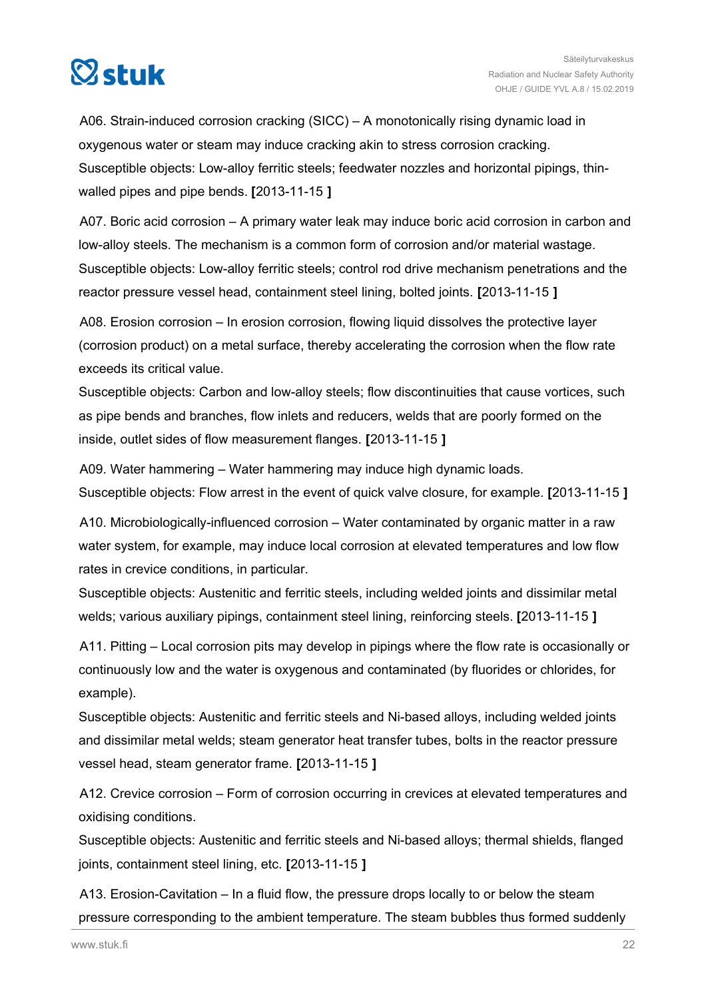

A06. Strain-induced corrosion cracking (SICC) – A monotonically rising dynamic load in oxygenous water or steam may induce cracking akin to stress corrosion cracking. Susceptible objects: Low-alloy ferritic steels; feedwater nozzles and horizontal pipings, thinwalled pipes and pipe bends. **[**2013-11-15 **]**

A07. Boric acid corrosion – A primary water leak may induce boric acid corrosion in carbon and low-alloy steels. The mechanism is a common form of corrosion and/or material wastage. Susceptible objects: Low-alloy ferritic steels; control rod drive mechanism penetrations and the reactor pressure vessel head, containment steel lining, bolted joints. **[**2013-11-15 **]**

A08. Erosion corrosion – In erosion corrosion, flowing liquid dissolves the protective layer (corrosion product) on a metal surface, thereby accelerating the corrosion when the flow rate exceeds its critical value.

Susceptible objects: Carbon and low-alloy steels; flow discontinuities that cause vortices, such as pipe bends and branches, flow inlets and reducers, welds that are poorly formed on the inside, outlet sides of flow measurement flanges. **[**2013-11-15 **]**

A09. Water hammering – Water hammering may induce high dynamic loads. Susceptible objects: Flow arrest in the event of quick valve closure, for example. **[**2013-11-15 **]**

A10. Microbiologically-influenced corrosion – Water contaminated by organic matter in a raw water system, for example, may induce local corrosion at elevated temperatures and low flow rates in crevice conditions, in particular.

Susceptible objects: Austenitic and ferritic steels, including welded joints and dissimilar metal welds; various auxiliary pipings, containment steel lining, reinforcing steels. **[**2013-11-15 **]**

A11. Pitting – Local corrosion pits may develop in pipings where the flow rate is occasionally or continuously low and the water is oxygenous and contaminated (by fluorides or chlorides, for example).

Susceptible objects: Austenitic and ferritic steels and Ni-based alloys, including welded joints and dissimilar metal welds; steam generator heat transfer tubes, bolts in the reactor pressure vessel head, steam generator frame. **[**2013-11-15 **]**

A12. Crevice corrosion – Form of corrosion occurring in crevices at elevated temperatures and oxidising conditions.

Susceptible objects: Austenitic and ferritic steels and Ni-based alloys; thermal shields, flanged joints, containment steel lining, etc. **[**2013-11-15 **]**

A13. Erosion-Cavitation – In a fluid flow, the pressure drops locally to or below the steam pressure corresponding to the ambient temperature. The steam bubbles thus formed suddenly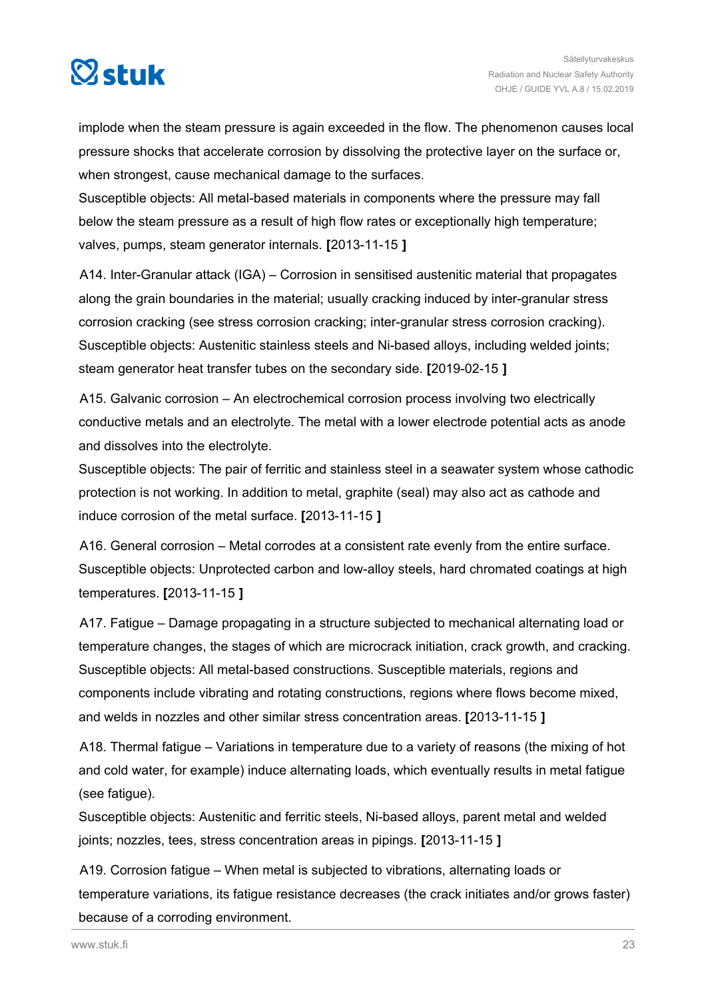

implode when the steam pressure is again exceeded in the flow. The phenomenon causes local pressure shocks that accelerate corrosion by dissolving the protective layer on the surface or, when strongest, cause mechanical damage to the surfaces.

Susceptible objects: All metal-based materials in components where the pressure may fall below the steam pressure as a result of high flow rates or exceptionally high temperature; valves, pumps, steam generator internals. **[**2013-11-15 **]**

A14. Inter-Granular attack (IGA) – Corrosion in sensitised austenitic material that propagates along the grain boundaries in the material; usually cracking induced by inter-granular stress corrosion cracking (see stress corrosion cracking; inter-granular stress corrosion cracking). Susceptible objects: Austenitic stainless steels and Ni-based alloys, including welded joints; steam generator heat transfer tubes on the secondary side. **[**2019-02-15 **]**

A15. Galvanic corrosion – An electrochemical corrosion process involving two electrically conductive metals and an electrolyte. The metal with a lower electrode potential acts as anode and dissolves into the electrolyte.

Susceptible objects: The pair of ferritic and stainless steel in a seawater system whose cathodic protection is not working. In addition to metal, graphite (seal) may also act as cathode and induce corrosion of the metal surface. **[**2013-11-15 **]**

A16. General corrosion – Metal corrodes at a consistent rate evenly from the entire surface. Susceptible objects: Unprotected carbon and low-alloy steels, hard chromated coatings at high temperatures. **[**2013-11-15 **]**

A17. Fatigue – Damage propagating in a structure subjected to mechanical alternating load or temperature changes, the stages of which are microcrack initiation, crack growth, and cracking. Susceptible objects: All metal-based constructions. Susceptible materials, regions and components include vibrating and rotating constructions, regions where flows become mixed, and welds in nozzles and other similar stress concentration areas. **[**2013-11-15 **]**

A18. Thermal fatigue – Variations in temperature due to a variety of reasons (the mixing of hot and cold water, for example) induce alternating loads, which eventually results in metal fatigue (see fatigue).

Susceptible objects: Austenitic and ferritic steels, Ni-based alloys, parent metal and welded joints; nozzles, tees, stress concentration areas in pipings. **[**2013-11-15 **]**

A19. Corrosion fatigue – When metal is subjected to vibrations, alternating loads or temperature variations, its fatigue resistance decreases (the crack initiates and/or grows faster) because of a corroding environment.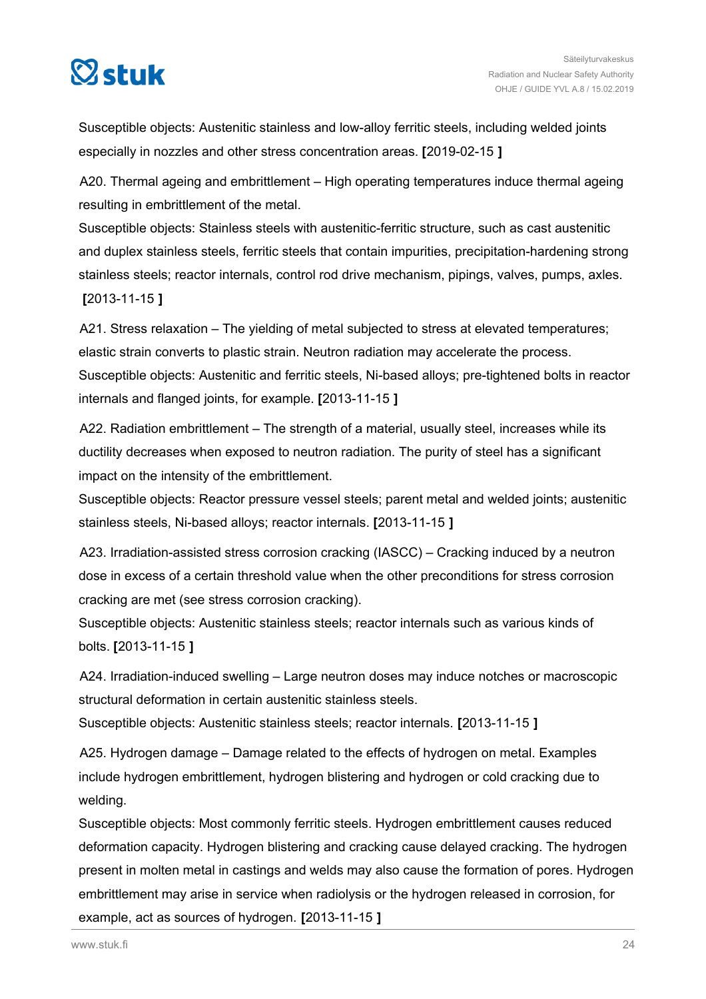

Susceptible objects: Austenitic stainless and low-alloy ferritic steels, including welded joints especially in nozzles and other stress concentration areas. **[**2019-02-15 **]**

A20. Thermal ageing and embrittlement – High operating temperatures induce thermal ageing resulting in embrittlement of the metal.

Susceptible objects: Stainless steels with austenitic-ferritic structure, such as cast austenitic and duplex stainless steels, ferritic steels that contain impurities, precipitation-hardening strong stainless steels; reactor internals, control rod drive mechanism, pipings, valves, pumps, axles. **[**2013-11-15 **]**

A21. Stress relaxation – The yielding of metal subjected to stress at elevated temperatures; elastic strain converts to plastic strain. Neutron radiation may accelerate the process. Susceptible objects: Austenitic and ferritic steels, Ni-based alloys; pre-tightened bolts in reactor internals and flanged joints, for example. **[**2013-11-15 **]**

A22. Radiation embrittlement – The strength of a material, usually steel, increases while its ductility decreases when exposed to neutron radiation. The purity of steel has a significant impact on the intensity of the embrittlement.

Susceptible objects: Reactor pressure vessel steels; parent metal and welded joints; austenitic stainless steels, Ni-based alloys; reactor internals. **[**2013-11-15 **]**

A23. Irradiation-assisted stress corrosion cracking (IASCC) – Cracking induced by a neutron dose in excess of a certain threshold value when the other preconditions for stress corrosion cracking are met (see stress corrosion cracking).

Susceptible objects: Austenitic stainless steels; reactor internals such as various kinds of bolts. **[**2013-11-15 **]**

A24. Irradiation-induced swelling – Large neutron doses may induce notches or macroscopic structural deformation in certain austenitic stainless steels.

Susceptible objects: Austenitic stainless steels; reactor internals. **[**2013-11-15 **]**

A25. Hydrogen damage – Damage related to the effects of hydrogen on metal. Examples include hydrogen embrittlement, hydrogen blistering and hydrogen or cold cracking due to welding.

Susceptible objects: Most commonly ferritic steels. Hydrogen embrittlement causes reduced deformation capacity. Hydrogen blistering and cracking cause delayed cracking. The hydrogen present in molten metal in castings and welds may also cause the formation of pores. Hydrogen embrittlement may arise in service when radiolysis or the hydrogen released in corrosion, for example, act as sources of hydrogen. **[**2013-11-15 **]**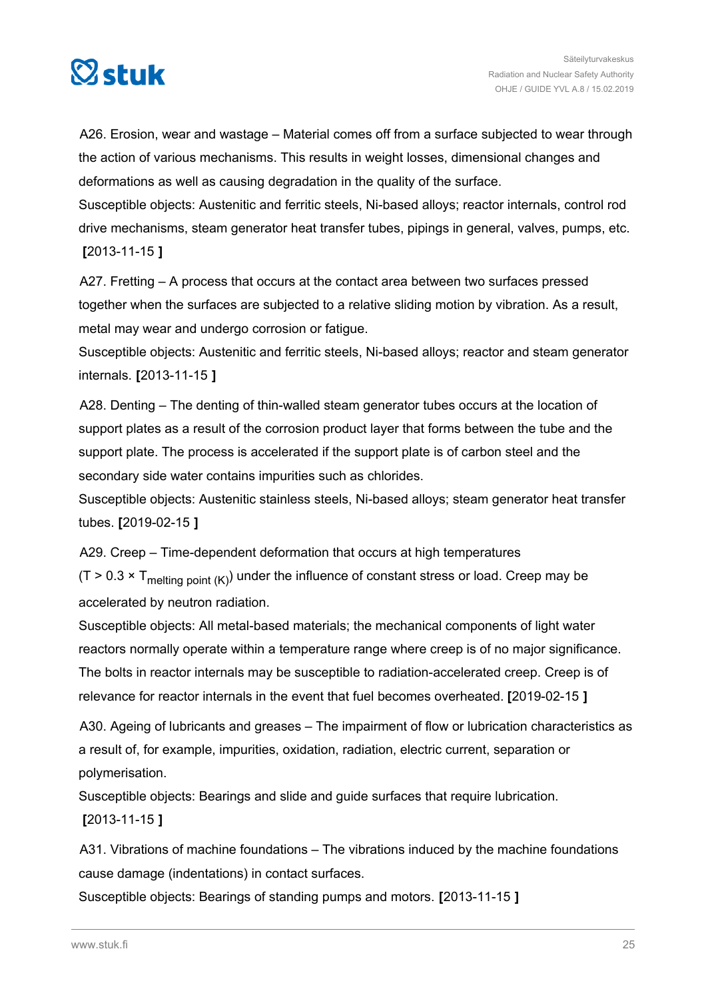

A26. Erosion, wear and wastage – Material comes off from a surface subjected to wear through the action of various mechanisms. This results in weight losses, dimensional changes and deformations as well as causing degradation in the quality of the surface.

Susceptible objects: Austenitic and ferritic steels, Ni-based alloys; reactor internals, control rod drive mechanisms, steam generator heat transfer tubes, pipings in general, valves, pumps, etc. **[**2013-11-15 **]**

A27. Fretting – A process that occurs at the contact area between two surfaces pressed together when the surfaces are subjected to a relative sliding motion by vibration. As a result, metal may wear and undergo corrosion or fatigue.

Susceptible objects: Austenitic and ferritic steels, Ni-based alloys; reactor and steam generator internals. **[**2013-11-15 **]**

A28. Denting – The denting of thin-walled steam generator tubes occurs at the location of support plates as a result of the corrosion product layer that forms between the tube and the support plate. The process is accelerated if the support plate is of carbon steel and the secondary side water contains impurities such as chlorides.

Susceptible objects: Austenitic stainless steels, Ni-based alloys; steam generator heat transfer tubes. **[**2019-02-15 **]**

A29. Creep – Time-dependent deformation that occurs at high temperatures

 $(T > 0.3 \times T_{\text{melting point (K)}})$  under the influence of constant stress or load. Creep may be accelerated by neutron radiation.

Susceptible objects: All metal-based materials; the mechanical components of light water reactors normally operate within a temperature range where creep is of no major significance. The bolts in reactor internals may be susceptible to radiation-accelerated creep. Creep is of relevance for reactor internals in the event that fuel becomes overheated. **[**2019-02-15 **]**

A30. Ageing of lubricants and greases – The impairment of flow or lubrication characteristics as a result of, for example, impurities, oxidation, radiation, electric current, separation or polymerisation.

Susceptible objects: Bearings and slide and guide surfaces that require lubrication.

**[**2013-11-15 **]**

A31. Vibrations of machine foundations – The vibrations induced by the machine foundations cause damage (indentations) in contact surfaces.

Susceptible objects: Bearings of standing pumps and motors. **[**2013-11-15 **]**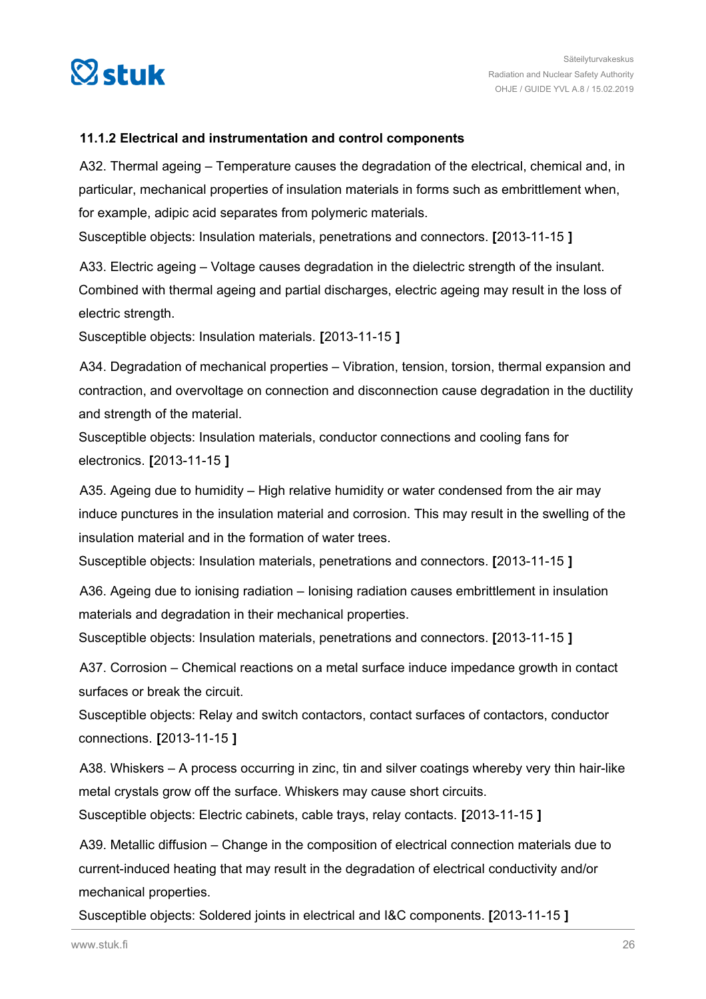<span id="page-25-0"></span>

#### **11.1.2 Electrical and instrumentation and control components**

A32. Thermal ageing – Temperature causes the degradation of the electrical, chemical and, in particular, mechanical properties of insulation materials in forms such as embrittlement when, for example, adipic acid separates from polymeric materials.

Susceptible objects: Insulation materials, penetrations and connectors. **[**2013-11-15 **]**

A33. Electric ageing – Voltage causes degradation in the dielectric strength of the insulant. Combined with thermal ageing and partial discharges, electric ageing may result in the loss of electric strength.

Susceptible objects: Insulation materials. **[**2013-11-15 **]**

A34. Degradation of mechanical properties – Vibration, tension, torsion, thermal expansion and contraction, and overvoltage on connection and disconnection cause degradation in the ductility and strength of the material.

Susceptible objects: Insulation materials, conductor connections and cooling fans for electronics. **[**2013-11-15 **]**

A35. Ageing due to humidity – High relative humidity or water condensed from the air may induce punctures in the insulation material and corrosion. This may result in the swelling of the insulation material and in the formation of water trees.

Susceptible objects: Insulation materials, penetrations and connectors. **[**2013-11-15 **]**

A36. Ageing due to ionising radiation – Ionising radiation causes embrittlement in insulation materials and degradation in their mechanical properties.

Susceptible objects: Insulation materials, penetrations and connectors. **[**2013-11-15 **]**

A37. Corrosion – Chemical reactions on a metal surface induce impedance growth in contact surfaces or break the circuit.

Susceptible objects: Relay and switch contactors, contact surfaces of contactors, conductor connections. **[**2013-11-15 **]**

A38. Whiskers – A process occurring in zinc, tin and silver coatings whereby very thin hair-like metal crystals grow off the surface. Whiskers may cause short circuits.

Susceptible objects: Electric cabinets, cable trays, relay contacts. **[**2013-11-15 **]**

A39. Metallic diffusion – Change in the composition of electrical connection materials due to current-induced heating that may result in the degradation of electrical conductivity and/or mechanical properties.

Susceptible objects: Soldered joints in electrical and I&C components. **[**2013-11-15 **]**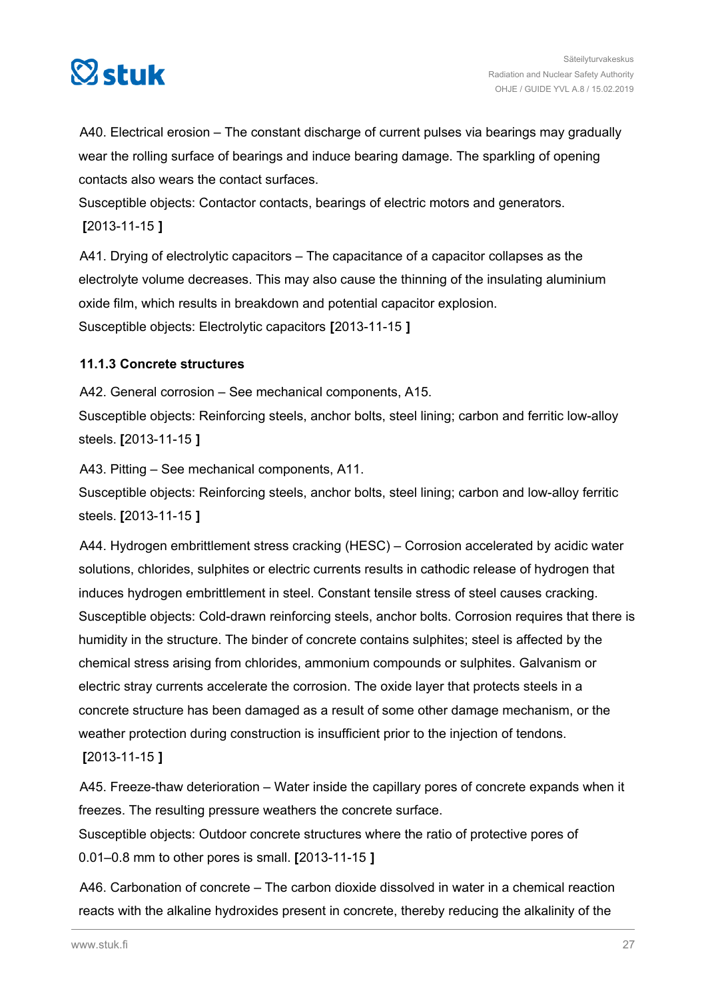<span id="page-26-0"></span>

A40. Electrical erosion – The constant discharge of current pulses via bearings may gradually wear the rolling surface of bearings and induce bearing damage. The sparkling of opening contacts also wears the contact surfaces.

Susceptible objects: Contactor contacts, bearings of electric motors and generators.

**[**2013-11-15 **]**

A41. Drying of electrolytic capacitors – The capacitance of a capacitor collapses as the electrolyte volume decreases. This may also cause the thinning of the insulating aluminium oxide film, which results in breakdown and potential capacitor explosion. Susceptible objects: Electrolytic capacitors **[**2013-11-15 **]**

#### **11.1.3 Concrete structures**

A42. General corrosion – See mechanical components, A15. Susceptible objects: Reinforcing steels, anchor bolts, steel lining; carbon and ferritic low-alloy steels. **[**2013-11-15 **]**

A43. Pitting – See mechanical components, A11.

Susceptible objects: Reinforcing steels, anchor bolts, steel lining; carbon and low-alloy ferritic steels. **[**2013-11-15 **]**

A44. Hydrogen embrittlement stress cracking (HESC) – Corrosion accelerated by acidic water solutions, chlorides, sulphites or electric currents results in cathodic release of hydrogen that induces hydrogen embrittlement in steel. Constant tensile stress of steel causes cracking. Susceptible objects: Cold-drawn reinforcing steels, anchor bolts. Corrosion requires that there is humidity in the structure. The binder of concrete contains sulphites; steel is affected by the chemical stress arising from chlorides, ammonium compounds or sulphites. Galvanism or electric stray currents accelerate the corrosion. The oxide layer that protects steels in a concrete structure has been damaged as a result of some other damage mechanism, or the weather protection during construction is insufficient prior to the injection of tendons. **[**2013-11-15 **]**

A45. Freeze-thaw deterioration – Water inside the capillary pores of concrete expands when it freezes. The resulting pressure weathers the concrete surface.

Susceptible objects: Outdoor concrete structures where the ratio of protective pores of 0.01–0.8 mm to other pores is small. **[**2013-11-15 **]**

A46. Carbonation of concrete – The carbon dioxide dissolved in water in a chemical reaction reacts with the alkaline hydroxides present in concrete, thereby reducing the alkalinity of the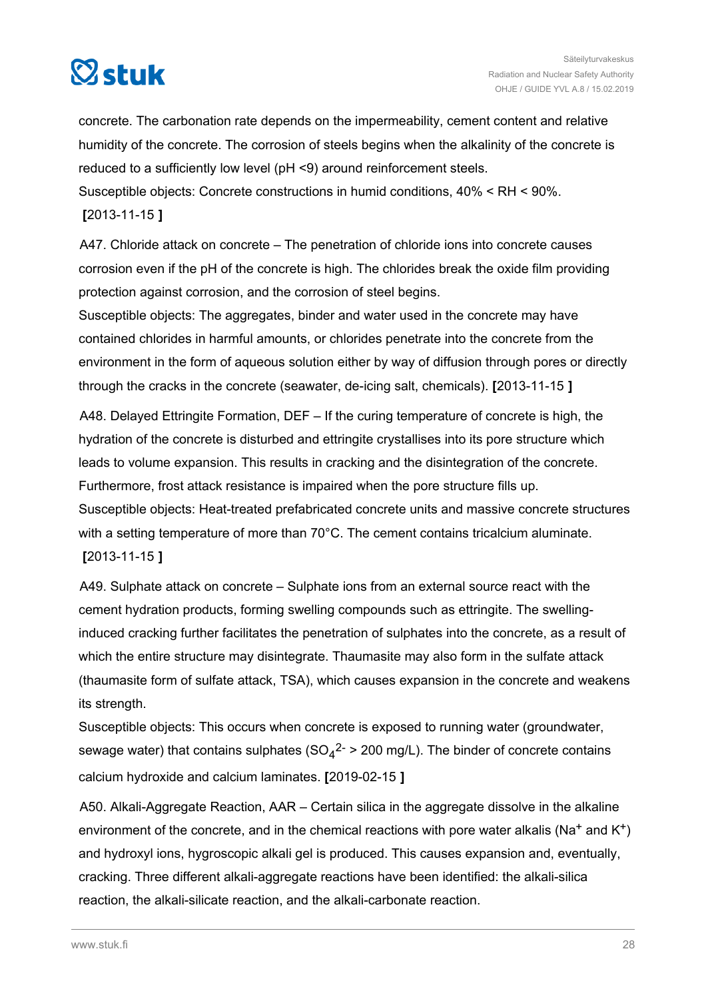

concrete. The carbonation rate depends on the impermeability, cement content and relative humidity of the concrete. The corrosion of steels begins when the alkalinity of the concrete is reduced to a sufficiently low level (pH <9) around reinforcement steels. Susceptible objects: Concrete constructions in humid conditions, 40% < RH < 90%.

**[**2013-11-15 **]**

A47. Chloride attack on concrete – The penetration of chloride ions into concrete causes corrosion even if the pH of the concrete is high. The chlorides break the oxide film providing protection against corrosion, and the corrosion of steel begins.

Susceptible objects: The aggregates, binder and water used in the concrete may have contained chlorides in harmful amounts, or chlorides penetrate into the concrete from the environment in the form of aqueous solution either by way of diffusion through pores or directly through the cracks in the concrete (seawater, de-icing salt, chemicals). **[**2013-11-15 **]**

A48. Delayed Ettringite Formation, DEF – If the curing temperature of concrete is high, the hydration of the concrete is disturbed and ettringite crystallises into its pore structure which leads to volume expansion. This results in cracking and the disintegration of the concrete. Furthermore, frost attack resistance is impaired when the pore structure fills up. Susceptible objects: Heat-treated prefabricated concrete units and massive concrete structures with a setting temperature of more than 70°C. The cement contains tricalcium aluminate. **[**2013-11-15 **]**

A49. Sulphate attack on concrete – Sulphate ions from an external source react with the cement hydration products, forming swelling compounds such as ettringite. The swellinginduced cracking further facilitates the penetration of sulphates into the concrete, as a result of which the entire structure may disintegrate. Thaumasite may also form in the sulfate attack (thaumasite form of sulfate attack, TSA), which causes expansion in the concrete and weakens its strength.

Susceptible objects: This occurs when concrete is exposed to running water (groundwater, sewage water) that contains sulphates (SO<sub>4</sub><sup>2-</sup> > 200 mg/L). The binder of concrete contains calcium hydroxide and calcium laminates. **[**2019-02-15 **]**

A50. Alkali-Aggregate Reaction, AAR – Certain silica in the aggregate dissolve in the alkaline environment of the concrete, and in the chemical reactions with pore water alkalis (Na<sup>+</sup> and K<sup>+</sup>) and hydroxyl ions, hygroscopic alkali gel is produced. This causes expansion and, eventually, cracking. Three different alkali-aggregate reactions have been identified: the alkali-silica reaction, the alkali-silicate reaction, and the alkali-carbonate reaction.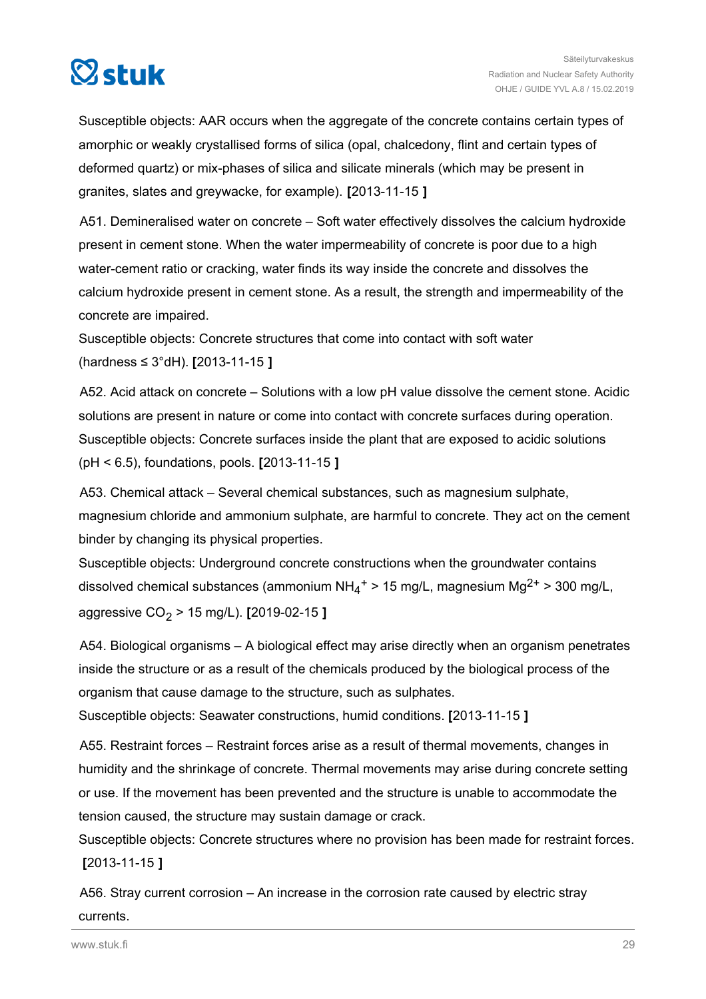

Susceptible objects: AAR occurs when the aggregate of the concrete contains certain types of amorphic or weakly crystallised forms of silica (opal, chalcedony, flint and certain types of deformed quartz) or mix-phases of silica and silicate minerals (which may be present in granites, slates and greywacke, for example). **[**2013-11-15 **]**

A51. Demineralised water on concrete – Soft water effectively dissolves the calcium hydroxide present in cement stone. When the water impermeability of concrete is poor due to a high water-cement ratio or cracking, water finds its way inside the concrete and dissolves the calcium hydroxide present in cement stone. As a result, the strength and impermeability of the concrete are impaired.

Susceptible objects: Concrete structures that come into contact with soft water (hardness ≤ 3°dH). **[**2013-11-15 **]**

A52. Acid attack on concrete – Solutions with a low pH value dissolve the cement stone. Acidic solutions are present in nature or come into contact with concrete surfaces during operation. Susceptible objects: Concrete surfaces inside the plant that are exposed to acidic solutions (pH < 6.5), foundations, pools. **[**2013-11-15 **]**

A53. Chemical attack – Several chemical substances, such as magnesium sulphate, magnesium chloride and ammonium sulphate, are harmful to concrete. They act on the cement binder by changing its physical properties.

Susceptible objects: Underground concrete constructions when the groundwater contains dissolved chemical substances (ammonium  $NH_4^+$  > 15 mg/L, magnesium Mg<sup>2+</sup> > 300 mg/L, aggressive CO<sup>2</sup> > 15 mg/L). **[**2019-02-15 **]**

A54. Biological organisms – A biological effect may arise directly when an organism penetrates inside the structure or as a result of the chemicals produced by the biological process of the organism that cause damage to the structure, such as sulphates.

Susceptible objects: Seawater constructions, humid conditions. **[**2013-11-15 **]**

A55. Restraint forces – Restraint forces arise as a result of thermal movements, changes in humidity and the shrinkage of concrete. Thermal movements may arise during concrete setting or use. If the movement has been prevented and the structure is unable to accommodate the tension caused, the structure may sustain damage or crack.

Susceptible objects: Concrete structures where no provision has been made for restraint forces. **[**2013-11-15 **]**

A56. Stray current corrosion – An increase in the corrosion rate caused by electric stray currents.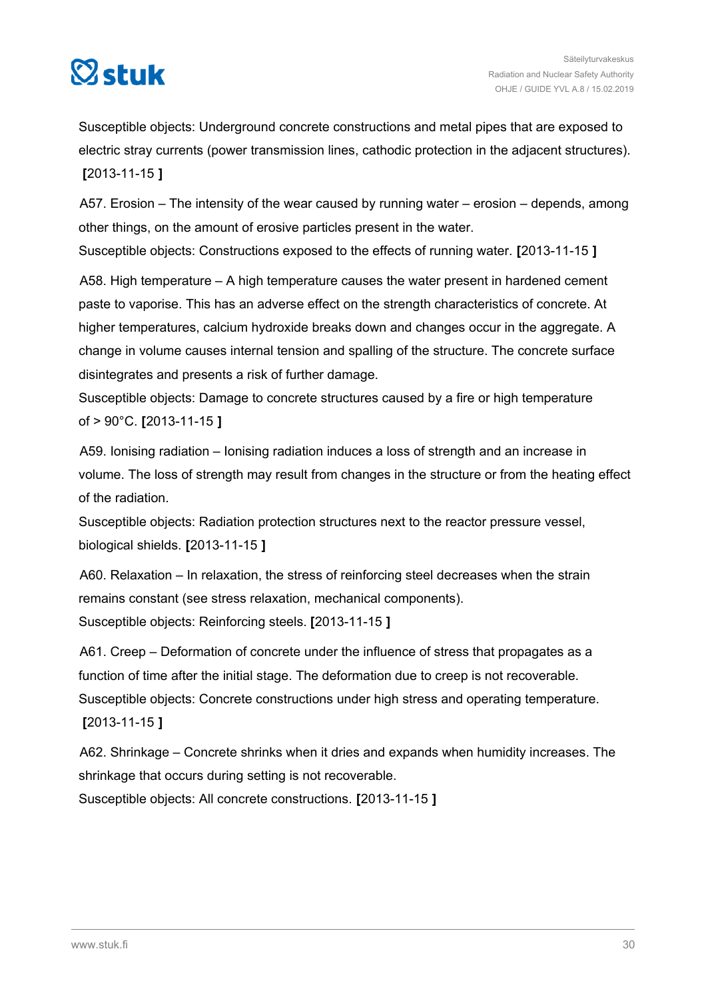

Susceptible objects: Underground concrete constructions and metal pipes that are exposed to electric stray currents (power transmission lines, cathodic protection in the adjacent structures). **[**2013-11-15 **]**

A57. Erosion – The intensity of the wear caused by running water – erosion – depends, among other things, on the amount of erosive particles present in the water.

Susceptible objects: Constructions exposed to the effects of running water. **[**2013-11-15 **]**

A58. High temperature – A high temperature causes the water present in hardened cement paste to vaporise. This has an adverse effect on the strength characteristics of concrete. At higher temperatures, calcium hydroxide breaks down and changes occur in the aggregate. A change in volume causes internal tension and spalling of the structure. The concrete surface disintegrates and presents a risk of further damage.

Susceptible objects: Damage to concrete structures caused by a fire or high temperature of > 90°C. **[**2013-11-15 **]**

A59. Ionising radiation – Ionising radiation induces a loss of strength and an increase in volume. The loss of strength may result from changes in the structure or from the heating effect of the radiation.

Susceptible objects: Radiation protection structures next to the reactor pressure vessel, biological shields. **[**2013-11-15 **]**

A60. Relaxation – In relaxation, the stress of reinforcing steel decreases when the strain remains constant (see stress relaxation, mechanical components). Susceptible objects: Reinforcing steels. **[**2013-11-15 **]**

A61. Creep – Deformation of concrete under the influence of stress that propagates as a function of time after the initial stage. The deformation due to creep is not recoverable. Susceptible objects: Concrete constructions under high stress and operating temperature. **[**2013-11-15 **]**

A62. Shrinkage – Concrete shrinks when it dries and expands when humidity increases. The shrinkage that occurs during setting is not recoverable.

Susceptible objects: All concrete constructions. **[**2013-11-15 **]**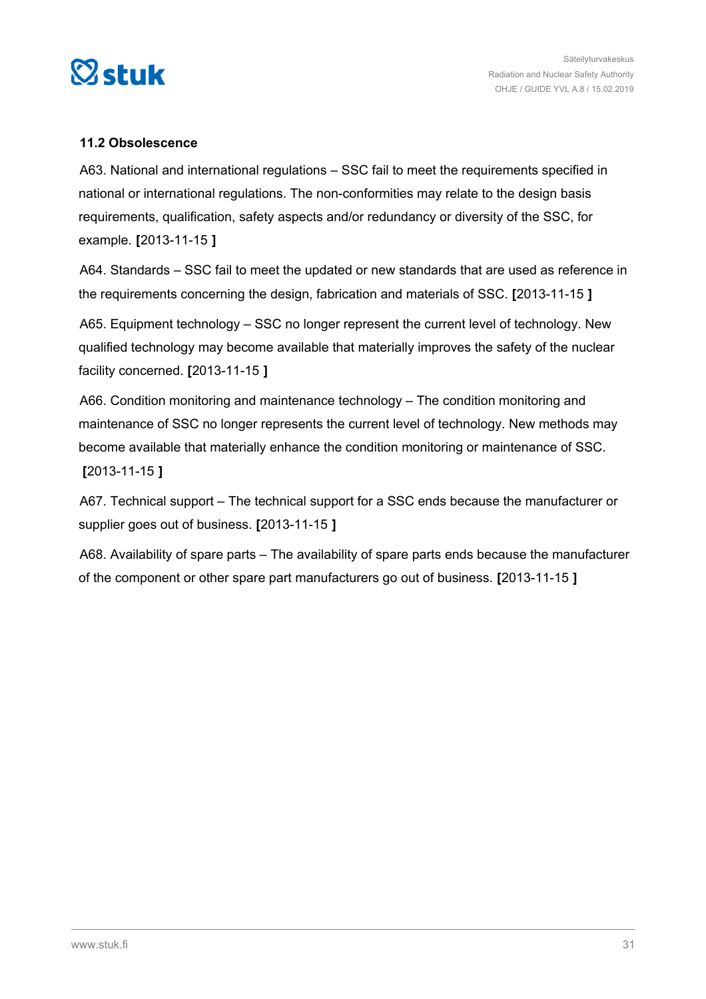<span id="page-30-0"></span>

#### **11.2 Obsolescence**

A63. National and international regulations – SSC fail to meet the requirements specified in national or international regulations. The non-conformities may relate to the design basis requirements, qualification, safety aspects and/or redundancy or diversity of the SSC, for example. **[**2013-11-15 **]**

A64. Standards – SSC fail to meet the updated or new standards that are used as reference in the requirements concerning the design, fabrication and materials of SSC. **[**2013-11-15 **]**

A65. Equipment technology – SSC no longer represent the current level of technology. New qualified technology may become available that materially improves the safety of the nuclear facility concerned. **[**2013-11-15 **]**

A66. Condition monitoring and maintenance technology – The condition monitoring and maintenance of SSC no longer represents the current level of technology. New methods may become available that materially enhance the condition monitoring or maintenance of SSC. **[**2013-11-15 **]**

A67. Technical support – The technical support for a SSC ends because the manufacturer or supplier goes out of business. **[**2013-11-15 **]**

A68. Availability of spare parts – The availability of spare parts ends because the manufacturer of the component or other spare part manufacturers go out of business. **[**2013-11-15 **]**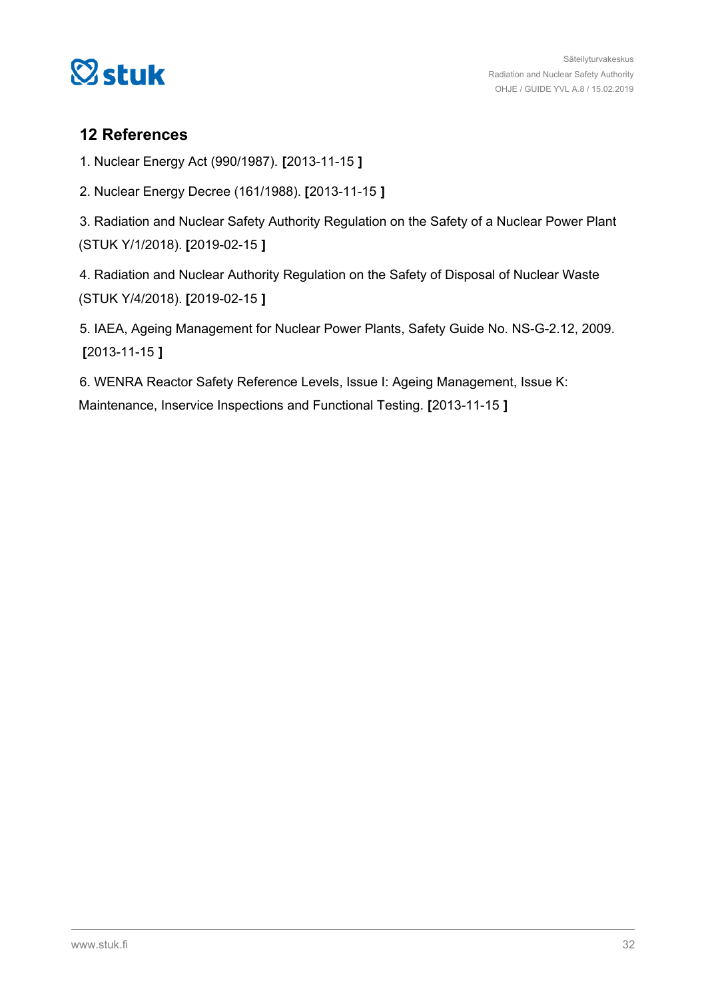<span id="page-31-0"></span>

## **12 References**

1. Nuclear Energy Act (990/1987). **[**2013-11-15 **]**

2. Nuclear Energy Decree (161/1988). **[**2013-11-15 **]**

3. Radiation and Nuclear Safety Authority Regulation on the Safety of a Nuclear Power Plant (STUK Y/1/2018). **[**2019-02-15 **]**

4. Radiation and Nuclear Authority Regulation on the Safety of Disposal of Nuclear Waste (STUK Y/4/2018). **[**2019-02-15 **]**

5. IAEA, Ageing Management for Nuclear Power Plants, Safety Guide No. NS-G-2.12, 2009. **[**2013-11-15 **]**

6. WENRA Reactor Safety Reference Levels, Issue I: Ageing Management, Issue K: Maintenance, Inservice Inspections and Functional Testing. **[**2013-11-15 **]**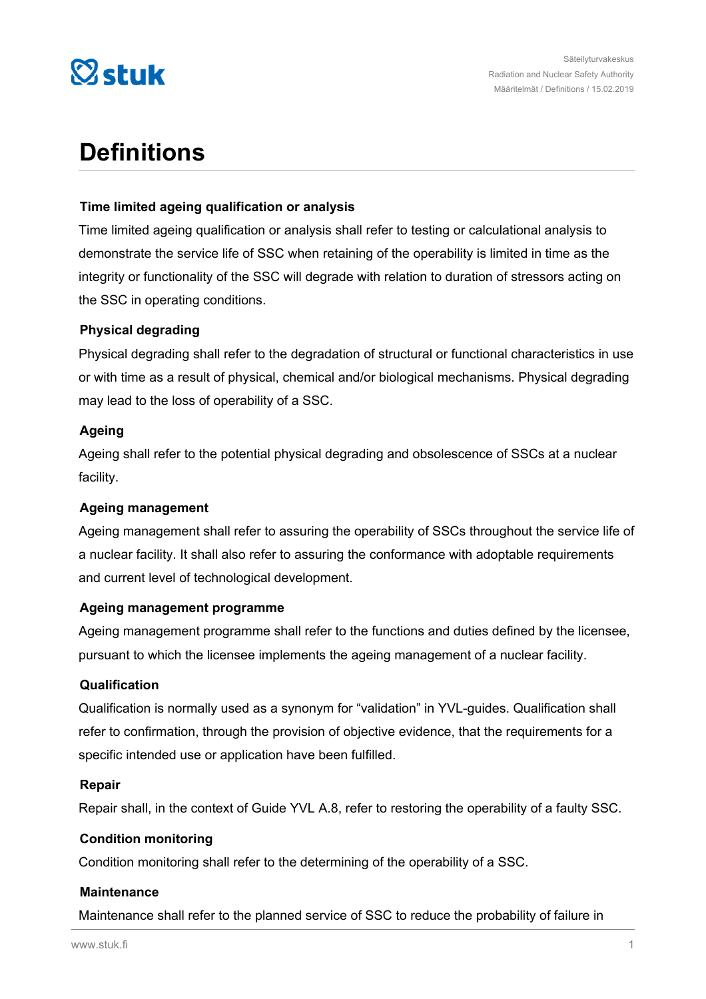

# **Definitions**

#### **Time limited ageing qualification or analysis**

Time limited ageing qualification or analysis shall refer to testing or calculational analysis to demonstrate the service life of SSC when retaining of the operability is limited in time as the integrity or functionality of the SSC will degrade with relation to duration of stressors acting on the SSC in operating conditions.

#### **Physical degrading**

Physical degrading shall refer to the degradation of structural or functional characteristics in use or with time as a result of physical, chemical and/or biological mechanisms. Physical degrading may lead to the loss of operability of a SSC.

#### **Ageing**

Ageing shall refer to the potential physical degrading and obsolescence of SSCs at a nuclear facility.

#### **Ageing management**

Ageing management shall refer to assuring the operability of SSCs throughout the service life of a nuclear facility. It shall also refer to assuring the conformance with adoptable requirements and current level of technological development.

#### **Ageing management programme**

Ageing management programme shall refer to the functions and duties defined by the licensee, pursuant to which the licensee implements the ageing management of a nuclear facility.

#### **Qualification**

Qualification is normally used as a synonym for "validation" in YVL-guides. Qualification shall refer to confirmation, through the provision of objective evidence, that the requirements for a specific intended use or application have been fulfilled.

#### **Repair**

Repair shall, in the context of Guide YVL A.8, refer to restoring the operability of a faulty SSC.

#### **Condition monitoring**

Condition monitoring shall refer to the determining of the operability of a SSC.

#### **Maintenance**

Maintenance shall refer to the planned service of SSC to reduce the probability of failure in